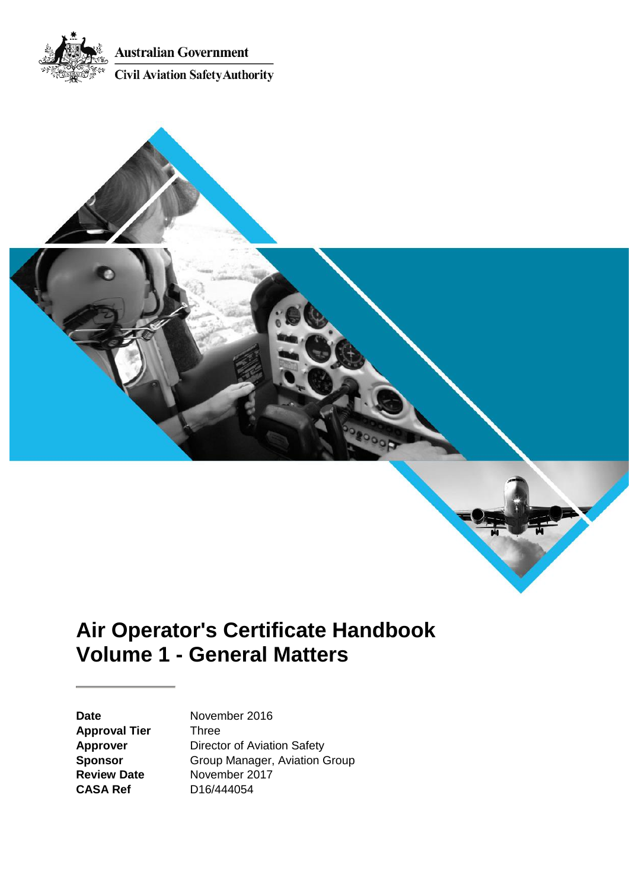





# **Air Operator's Certificate Handbook Volume 1 - General Matters**

**Approval Tier** Three **CASA Ref** D16/444054

Date **November 2016 Approver** Director of Aviation Safety **Sponsor Group Manager, Aviation Group Review Date** November 2017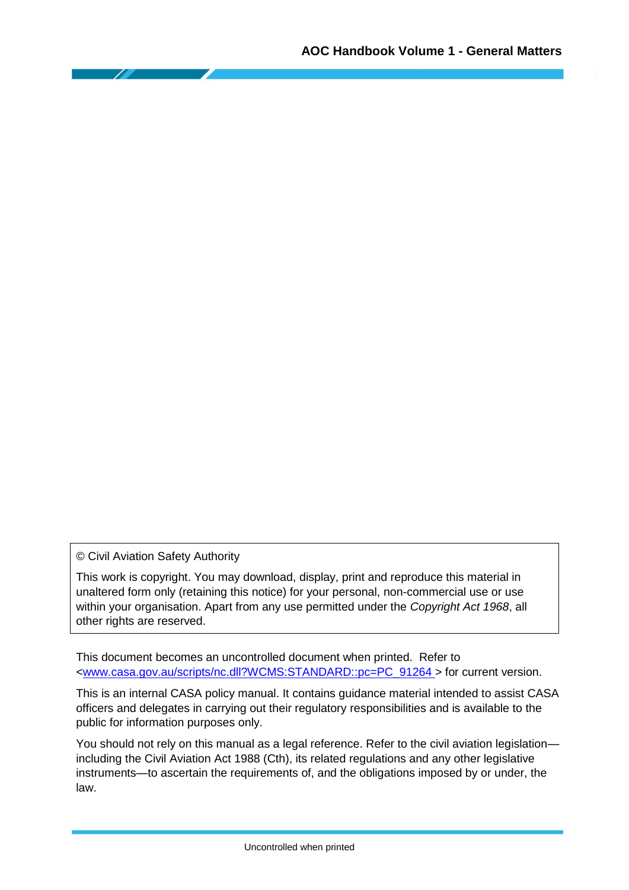© Civil Aviation Safety Authority

This work is copyright. You may download, display, print and reproduce this material in unaltered form only (retaining this notice) for your personal, non-commercial use or use within your organisation. Apart from any use permitted under the *Copyright Act 1968*, all other rights are reserved.

This document becomes an uncontrolled document when printed. Refer to [<www.casa.gov.au/scripts/nc.dll?WCMS:STANDARD::pc=PC\\_91264 >](http://casa.gov.au/scripts/nc.dll?WCMS:STANDARD::pc=PC_91264%20) for current version.

This is an internal CASA policy manual. It contains guidance material intended to assist CASA officers and delegates in carrying out their regulatory responsibilities and is available to the public for information purposes only.

You should not rely on this manual as a legal reference. Refer to the civil aviation legislation including the Civil Aviation Act 1988 (Cth), its related regulations and any other legislative instruments—to ascertain the requirements of, and the obligations imposed by or under, the law.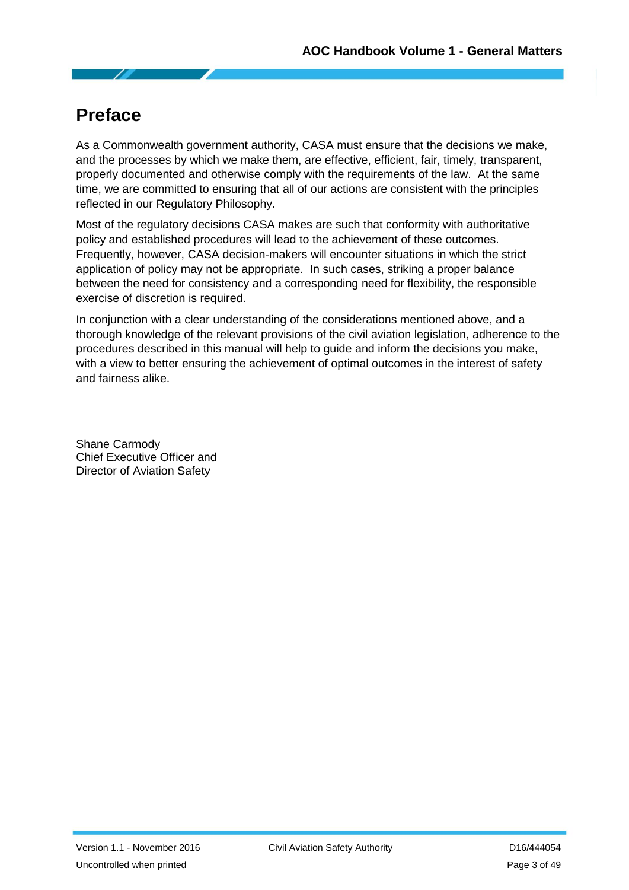# <span id="page-2-0"></span>**Preface**

As a Commonwealth government authority, CASA must ensure that the decisions we make, and the processes by which we make them, are effective, efficient, fair, timely, transparent, properly documented and otherwise comply with the requirements of the law. At the same time, we are committed to ensuring that all of our actions are consistent with the principles reflected in our Regulatory Philosophy.

Most of the regulatory decisions CASA makes are such that conformity with authoritative policy and established procedures will lead to the achievement of these outcomes. Frequently, however, CASA decision-makers will encounter situations in which the strict application of policy may not be appropriate. In such cases, striking a proper balance between the need for consistency and a corresponding need for flexibility, the responsible exercise of discretion is required.

In conjunction with a clear understanding of the considerations mentioned above, and a thorough knowledge of the relevant provisions of the civil aviation legislation, adherence to the procedures described in this manual will help to guide and inform the decisions you make, with a view to better ensuring the achievement of optimal outcomes in the interest of safety and fairness alike.

Shane Carmody Chief Executive Officer and Director of Aviation Safety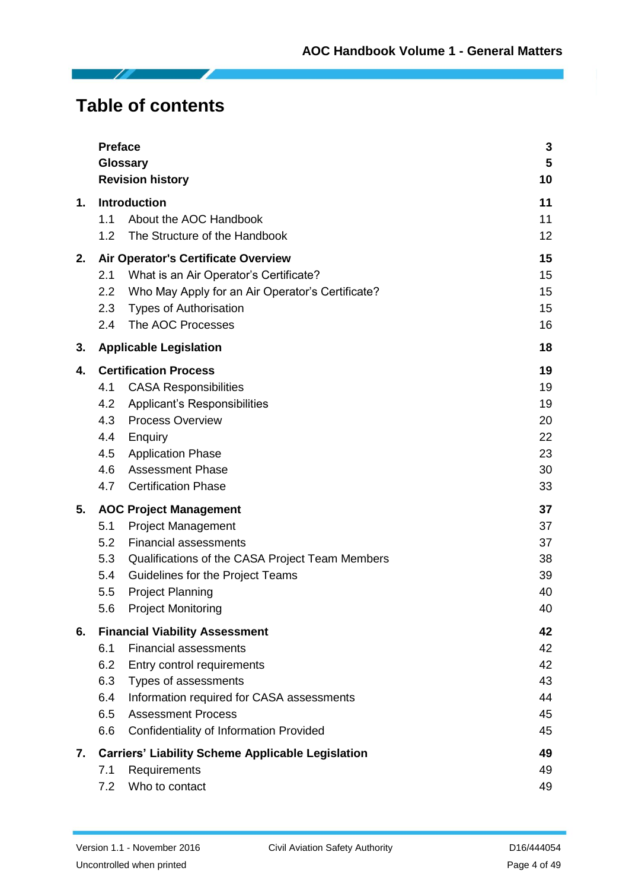**Table of contents**

## **[Preface](#page-2-0) 3 [Glossary](#page-4-0) 5 [Revision history](#page-9-0) 10 1. [Introduction](#page-10-0) 11** 1.1 [About the AOC Handbook](#page-10-1) 11 and 11 and 11 and 11 and 11 and 11 and 11 and 11 and 11 and 11 and 11 and 11 and 11 and 11 and 11 and 11 and 11 and 11 and 11 and 11 and 11 and 11 and 11 and 11 and 11 and 12 and 12 and 12 and 1.2 [The Structure of the Handbook](#page-11-0) 12 **2. [Air Operator's Certificate Overview](#page-14-0) 15** 2.1 [What is an Air Operator's Certificate?](#page-14-1) 15 2.2 [Who May Apply for an Air Operator's Certificate?](#page-14-2) 15 2.3 [Types of Authorisation](#page-14-3) 15 2.4 [The AOC Processes](#page-15-0) 16 **3. [Applicable Legislation](#page-17-0) 18 4. [Certification Process](#page-18-0) 19** 4.1 [CASA Responsibilities](#page-18-1) 19 4.2 [Applicant's Responsibilities](#page-18-2) 19 4.3 [Process Overview](#page-19-0) 20 4.4 [Enquiry](#page-21-0) 22 4.5 [Application Phase](#page-22-0) 23 4.6 [Assessment Phase](#page-29-0) 30 4.7 [Certification Phase](#page-32-0) 33 **5. [AOC Project Management](#page-36-0) 37** 5.1 [Project Management](#page-36-1) 37 5.2 [Financial assessments](#page-36-2) 37 5.3 [Qualifications of the CASA Project Team Members](#page-37-0) 38 5.4 [Guidelines for the Project Teams](#page-38-0) 39 5.5 [Project Planning](#page-39-0) 40 5.6 [Project Monitoring](#page-39-1) 40 **6. [Financial Viability Assessment](#page-41-0) 42** 6.1 [Financial assessments](#page-41-1) 42 6.2 [Entry control requirements](#page-41-2) 42 6.3 [Types of assessments](#page-42-0) 43 6.4 [Information required for CASA assessments](#page-43-0) 44 6.5 [Assessment Process](#page-44-0) 45 6.6 [Confidentiality of Information Provided](#page-44-1) 45 **7. [Carriers' Liability Scheme Applicable Legislation](#page-48-0) 49** 7.1 [Requirements](#page-48-1) 49 7.2 [Who to contact](#page-48-2) 49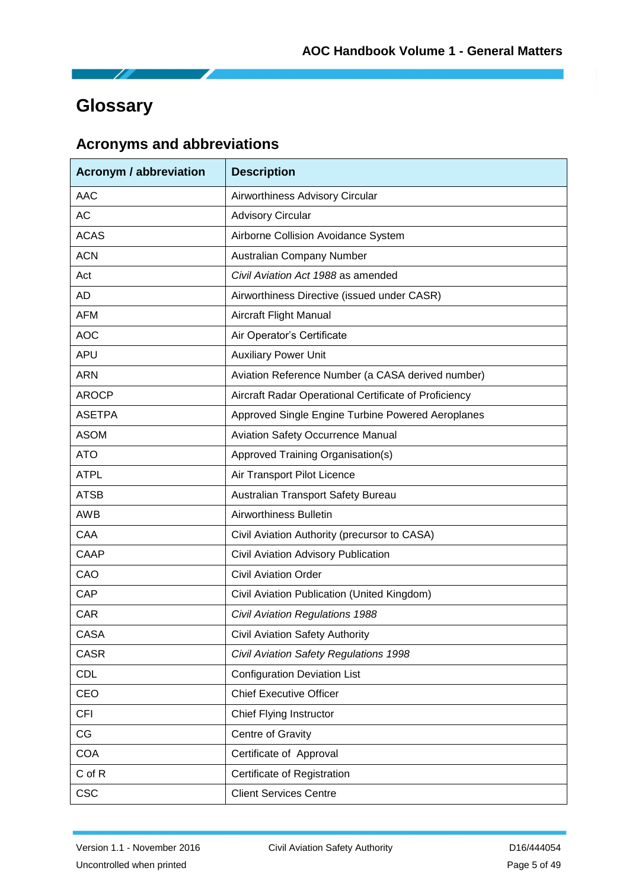# <span id="page-4-0"></span>**Glossary**

Z

## **Acronyms and abbreviations**

| <b>Acronym / abbreviation</b> | <b>Description</b>                                    |  |  |  |  |
|-------------------------------|-------------------------------------------------------|--|--|--|--|
| <b>AAC</b>                    | Airworthiness Advisory Circular                       |  |  |  |  |
| <b>AC</b>                     | <b>Advisory Circular</b>                              |  |  |  |  |
| <b>ACAS</b>                   | Airborne Collision Avoidance System                   |  |  |  |  |
| <b>ACN</b>                    | Australian Company Number                             |  |  |  |  |
| Act                           | Civil Aviation Act 1988 as amended                    |  |  |  |  |
| <b>AD</b>                     | Airworthiness Directive (issued under CASR)           |  |  |  |  |
| <b>AFM</b>                    | Aircraft Flight Manual                                |  |  |  |  |
| <b>AOC</b>                    | Air Operator's Certificate                            |  |  |  |  |
| <b>APU</b>                    | <b>Auxiliary Power Unit</b>                           |  |  |  |  |
| <b>ARN</b>                    | Aviation Reference Number (a CASA derived number)     |  |  |  |  |
| <b>AROCP</b>                  | Aircraft Radar Operational Certificate of Proficiency |  |  |  |  |
| <b>ASETPA</b>                 | Approved Single Engine Turbine Powered Aeroplanes     |  |  |  |  |
| <b>ASOM</b>                   | <b>Aviation Safety Occurrence Manual</b>              |  |  |  |  |
| <b>ATO</b>                    | Approved Training Organisation(s)                     |  |  |  |  |
| <b>ATPL</b>                   | Air Transport Pilot Licence                           |  |  |  |  |
| <b>ATSB</b>                   | Australian Transport Safety Bureau                    |  |  |  |  |
| <b>AWB</b>                    | Airworthiness Bulletin                                |  |  |  |  |
| CAA                           | Civil Aviation Authority (precursor to CASA)          |  |  |  |  |
| CAAP                          | Civil Aviation Advisory Publication                   |  |  |  |  |
| CAO                           | <b>Civil Aviation Order</b>                           |  |  |  |  |
| CAP                           | Civil Aviation Publication (United Kingdom)           |  |  |  |  |
| CAR                           | <b>Civil Aviation Regulations 1988</b>                |  |  |  |  |
| CASA                          | Civil Aviation Safety Authority                       |  |  |  |  |
| CASR                          | Civil Aviation Safety Regulations 1998                |  |  |  |  |
| <b>CDL</b>                    | <b>Configuration Deviation List</b>                   |  |  |  |  |
| CEO                           | <b>Chief Executive Officer</b>                        |  |  |  |  |
| <b>CFI</b>                    | Chief Flying Instructor                               |  |  |  |  |
| CG                            | Centre of Gravity                                     |  |  |  |  |
| <b>COA</b>                    | Certificate of Approval                               |  |  |  |  |
| C of R                        | Certificate of Registration                           |  |  |  |  |
| <b>CSC</b>                    | <b>Client Services Centre</b>                         |  |  |  |  |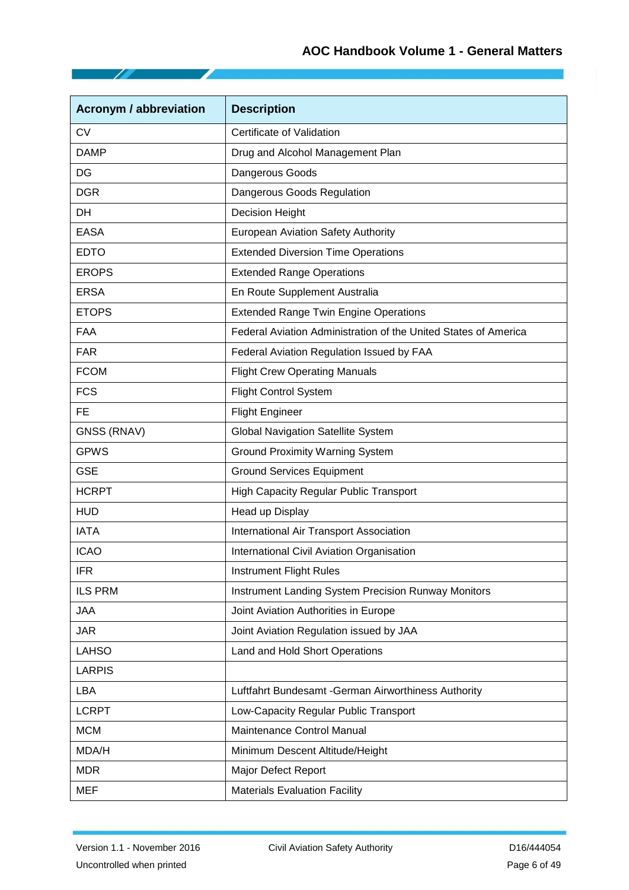## **AOC Handbook Volume 1 - General Matters**

| <b>Acronym / abbreviation</b> | <b>Description</b>                                              |  |  |  |  |  |
|-------------------------------|-----------------------------------------------------------------|--|--|--|--|--|
| <b>CV</b>                     | Certificate of Validation                                       |  |  |  |  |  |
| <b>DAMP</b>                   | Drug and Alcohol Management Plan                                |  |  |  |  |  |
| DG                            | Dangerous Goods                                                 |  |  |  |  |  |
| <b>DGR</b>                    | Dangerous Goods Regulation                                      |  |  |  |  |  |
| <b>DH</b>                     | <b>Decision Height</b>                                          |  |  |  |  |  |
| <b>EASA</b>                   | <b>European Aviation Safety Authority</b>                       |  |  |  |  |  |
| <b>EDTO</b>                   | <b>Extended Diversion Time Operations</b>                       |  |  |  |  |  |
| <b>EROPS</b>                  | <b>Extended Range Operations</b>                                |  |  |  |  |  |
| <b>ERSA</b>                   | En Route Supplement Australia                                   |  |  |  |  |  |
| <b>ETOPS</b>                  | <b>Extended Range Twin Engine Operations</b>                    |  |  |  |  |  |
| <b>FAA</b>                    | Federal Aviation Administration of the United States of America |  |  |  |  |  |
| <b>FAR</b>                    | Federal Aviation Regulation Issued by FAA                       |  |  |  |  |  |
| <b>FCOM</b>                   | <b>Flight Crew Operating Manuals</b>                            |  |  |  |  |  |
| <b>FCS</b>                    | <b>Flight Control System</b>                                    |  |  |  |  |  |
| FE.                           | <b>Flight Engineer</b>                                          |  |  |  |  |  |
| GNSS (RNAV)                   | <b>Global Navigation Satellite System</b>                       |  |  |  |  |  |
| <b>GPWS</b>                   | <b>Ground Proximity Warning System</b>                          |  |  |  |  |  |
| <b>GSE</b>                    | <b>Ground Services Equipment</b>                                |  |  |  |  |  |
| <b>HCRPT</b>                  | <b>High Capacity Regular Public Transport</b>                   |  |  |  |  |  |
| <b>HUD</b>                    | Head up Display                                                 |  |  |  |  |  |
| <b>IATA</b>                   | International Air Transport Association                         |  |  |  |  |  |
| <b>ICAO</b>                   | <b>International Civil Aviation Organisation</b>                |  |  |  |  |  |
| IFR                           | <b>Instrument Flight Rules</b>                                  |  |  |  |  |  |
| <b>ILS PRM</b>                | <b>Instrument Landing System Precision Runway Monitors</b>      |  |  |  |  |  |
| <b>JAA</b>                    | Joint Aviation Authorities in Europe                            |  |  |  |  |  |
| <b>JAR</b>                    | Joint Aviation Regulation issued by JAA                         |  |  |  |  |  |
| <b>LAHSO</b>                  | Land and Hold Short Operations                                  |  |  |  |  |  |
| <b>LARPIS</b>                 |                                                                 |  |  |  |  |  |
| <b>LBA</b>                    | Luftfahrt Bundesamt - German Airworthiness Authority            |  |  |  |  |  |
| <b>LCRPT</b>                  | Low-Capacity Regular Public Transport                           |  |  |  |  |  |
| <b>MCM</b>                    | Maintenance Control Manual                                      |  |  |  |  |  |
| MDA/H                         | Minimum Descent Altitude/Height                                 |  |  |  |  |  |
| <b>MDR</b>                    | Major Defect Report                                             |  |  |  |  |  |
| <b>MEF</b>                    | <b>Materials Evaluation Facility</b>                            |  |  |  |  |  |

<u>a ka</u>

◢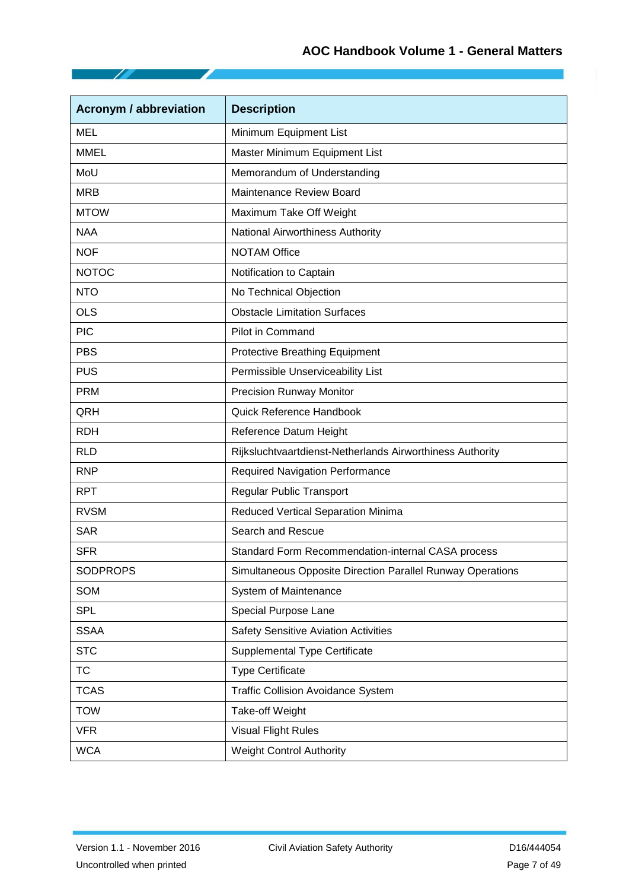| <b>Acronym / abbreviation</b> | <b>Description</b>                                         |  |  |  |  |  |
|-------------------------------|------------------------------------------------------------|--|--|--|--|--|
| <b>MEL</b>                    | Minimum Equipment List                                     |  |  |  |  |  |
| <b>MMEL</b>                   | Master Minimum Equipment List                              |  |  |  |  |  |
| MoU                           | Memorandum of Understanding                                |  |  |  |  |  |
| <b>MRB</b>                    | Maintenance Review Board                                   |  |  |  |  |  |
| <b>MTOW</b>                   | Maximum Take Off Weight                                    |  |  |  |  |  |
| <b>NAA</b>                    | National Airworthiness Authority                           |  |  |  |  |  |
| <b>NOF</b>                    | <b>NOTAM Office</b>                                        |  |  |  |  |  |
| <b>NOTOC</b>                  | Notification to Captain                                    |  |  |  |  |  |
| <b>NTO</b>                    | No Technical Objection                                     |  |  |  |  |  |
| <b>OLS</b>                    | <b>Obstacle Limitation Surfaces</b>                        |  |  |  |  |  |
| <b>PIC</b>                    | Pilot in Command                                           |  |  |  |  |  |
| <b>PBS</b>                    | <b>Protective Breathing Equipment</b>                      |  |  |  |  |  |
| <b>PUS</b>                    | Permissible Unserviceability List                          |  |  |  |  |  |
| <b>PRM</b>                    | <b>Precision Runway Monitor</b>                            |  |  |  |  |  |
| QRH                           | Quick Reference Handbook                                   |  |  |  |  |  |
| <b>RDH</b>                    | Reference Datum Height                                     |  |  |  |  |  |
| <b>RLD</b>                    | Rijksluchtvaartdienst-Netherlands Airworthiness Authority  |  |  |  |  |  |
| <b>RNP</b>                    | <b>Required Navigation Performance</b>                     |  |  |  |  |  |
| <b>RPT</b>                    | Regular Public Transport                                   |  |  |  |  |  |
| <b>RVSM</b>                   | Reduced Vertical Separation Minima                         |  |  |  |  |  |
| <b>SAR</b>                    | Search and Rescue                                          |  |  |  |  |  |
| <b>SFR</b>                    | Standard Form Recommendation-internal CASA process         |  |  |  |  |  |
| <b>SODPROPS</b>               | Simultaneous Opposite Direction Parallel Runway Operations |  |  |  |  |  |
| <b>SOM</b>                    | System of Maintenance                                      |  |  |  |  |  |
| <b>SPL</b>                    | Special Purpose Lane                                       |  |  |  |  |  |
| <b>SSAA</b>                   | <b>Safety Sensitive Aviation Activities</b>                |  |  |  |  |  |
| <b>STC</b>                    | Supplemental Type Certificate                              |  |  |  |  |  |
| TC                            | <b>Type Certificate</b>                                    |  |  |  |  |  |
| <b>TCAS</b>                   | <b>Traffic Collision Avoidance System</b>                  |  |  |  |  |  |
| <b>TOW</b>                    | Take-off Weight                                            |  |  |  |  |  |
| <b>VFR</b>                    | <b>Visual Flight Rules</b>                                 |  |  |  |  |  |
| <b>WCA</b>                    | <b>Weight Control Authority</b>                            |  |  |  |  |  |

D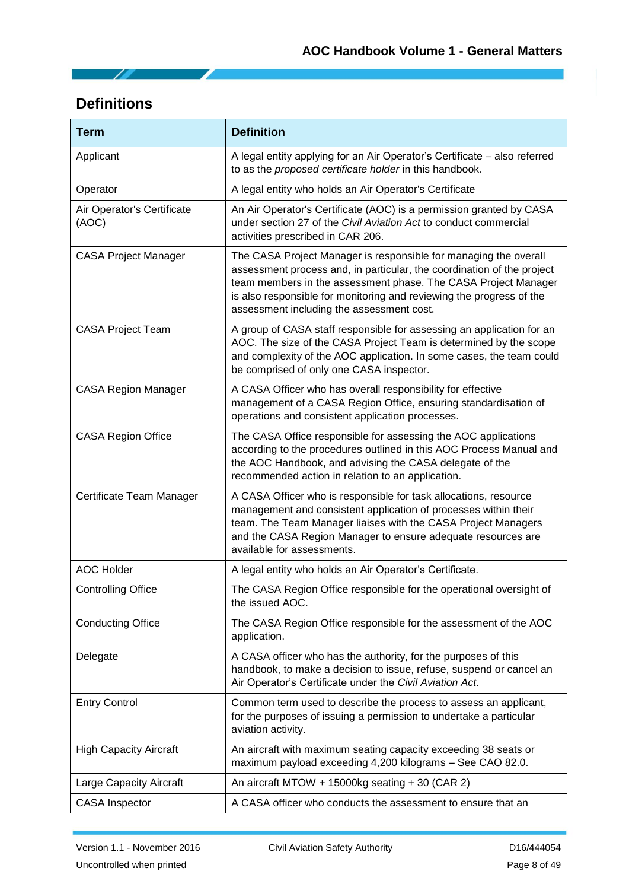# **Definitions**

7

| <b>Term</b>                         | <b>Definition</b>                                                                                                                                                                                                                                                                                                                 |
|-------------------------------------|-----------------------------------------------------------------------------------------------------------------------------------------------------------------------------------------------------------------------------------------------------------------------------------------------------------------------------------|
| Applicant                           | A legal entity applying for an Air Operator's Certificate - also referred<br>to as the proposed certificate holder in this handbook.                                                                                                                                                                                              |
| Operator                            | A legal entity who holds an Air Operator's Certificate                                                                                                                                                                                                                                                                            |
| Air Operator's Certificate<br>(AOC) | An Air Operator's Certificate (AOC) is a permission granted by CASA<br>under section 27 of the Civil Aviation Act to conduct commercial<br>activities prescribed in CAR 206.                                                                                                                                                      |
| <b>CASA Project Manager</b>         | The CASA Project Manager is responsible for managing the overall<br>assessment process and, in particular, the coordination of the project<br>team members in the assessment phase. The CASA Project Manager<br>is also responsible for monitoring and reviewing the progress of the<br>assessment including the assessment cost. |
| <b>CASA Project Team</b>            | A group of CASA staff responsible for assessing an application for an<br>AOC. The size of the CASA Project Team is determined by the scope<br>and complexity of the AOC application. In some cases, the team could<br>be comprised of only one CASA inspector.                                                                    |
| <b>CASA Region Manager</b>          | A CASA Officer who has overall responsibility for effective<br>management of a CASA Region Office, ensuring standardisation of<br>operations and consistent application processes.                                                                                                                                                |
| <b>CASA Region Office</b>           | The CASA Office responsible for assessing the AOC applications<br>according to the procedures outlined in this AOC Process Manual and<br>the AOC Handbook, and advising the CASA delegate of the<br>recommended action in relation to an application.                                                                             |
| Certificate Team Manager            | A CASA Officer who is responsible for task allocations, resource<br>management and consistent application of processes within their<br>team. The Team Manager liaises with the CASA Project Managers<br>and the CASA Region Manager to ensure adequate resources are<br>available for assessments.                                |
| <b>AOC Holder</b>                   | A legal entity who holds an Air Operator's Certificate.                                                                                                                                                                                                                                                                           |
| <b>Controlling Office</b>           | The CASA Region Office responsible for the operational oversight of<br>the issued AOC.                                                                                                                                                                                                                                            |
| <b>Conducting Office</b>            | The CASA Region Office responsible for the assessment of the AOC<br>application.                                                                                                                                                                                                                                                  |
| Delegate                            | A CASA officer who has the authority, for the purposes of this<br>handbook, to make a decision to issue, refuse, suspend or cancel an<br>Air Operator's Certificate under the Civil Aviation Act.                                                                                                                                 |
| <b>Entry Control</b>                | Common term used to describe the process to assess an applicant,<br>for the purposes of issuing a permission to undertake a particular<br>aviation activity.                                                                                                                                                                      |
| <b>High Capacity Aircraft</b>       | An aircraft with maximum seating capacity exceeding 38 seats or<br>maximum payload exceeding 4,200 kilograms - See CAO 82.0.                                                                                                                                                                                                      |
| Large Capacity Aircraft             | An aircraft MTOW + 15000kg seating + 30 (CAR 2)                                                                                                                                                                                                                                                                                   |
| <b>CASA</b> Inspector               | A CASA officer who conducts the assessment to ensure that an                                                                                                                                                                                                                                                                      |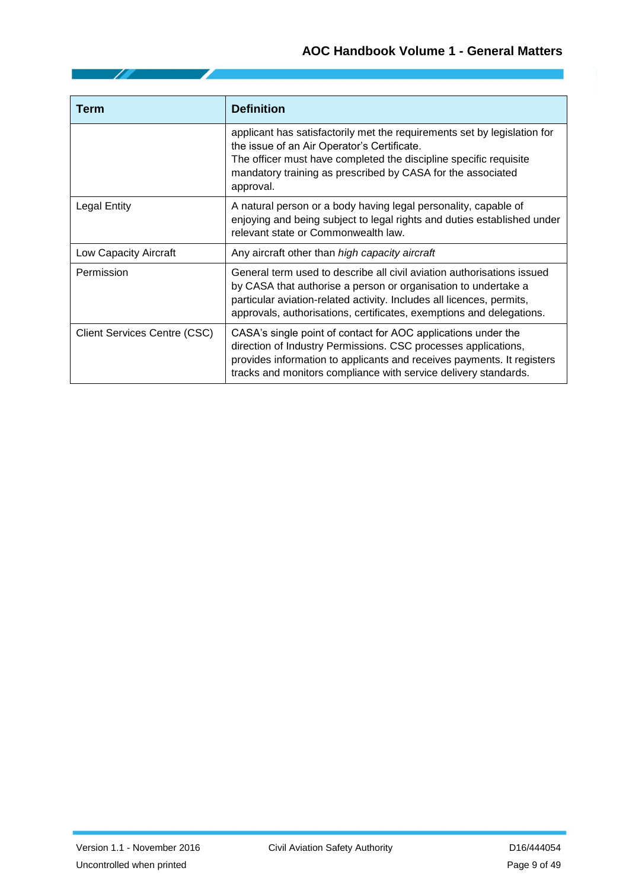| Term                                | <b>Definition</b>                                                                                                                                                                                                                                                                         |
|-------------------------------------|-------------------------------------------------------------------------------------------------------------------------------------------------------------------------------------------------------------------------------------------------------------------------------------------|
|                                     | applicant has satisfactorily met the requirements set by legislation for<br>the issue of an Air Operator's Certificate.<br>The officer must have completed the discipline specific requisite<br>mandatory training as prescribed by CASA for the associated<br>approval.                  |
| <b>Legal Entity</b>                 | A natural person or a body having legal personality, capable of<br>enjoying and being subject to legal rights and duties established under<br>relevant state or Commonwealth law.                                                                                                         |
| Low Capacity Aircraft               | Any aircraft other than high capacity aircraft                                                                                                                                                                                                                                            |
| Permission                          | General term used to describe all civil aviation authorisations issued<br>by CASA that authorise a person or organisation to undertake a<br>particular aviation-related activity. Includes all licences, permits,<br>approvals, authorisations, certificates, exemptions and delegations. |
| <b>Client Services Centre (CSC)</b> | CASA's single point of contact for AOC applications under the<br>direction of Industry Permissions. CSC processes applications,<br>provides information to applicants and receives payments. It registers<br>tracks and monitors compliance with service delivery standards.              |

D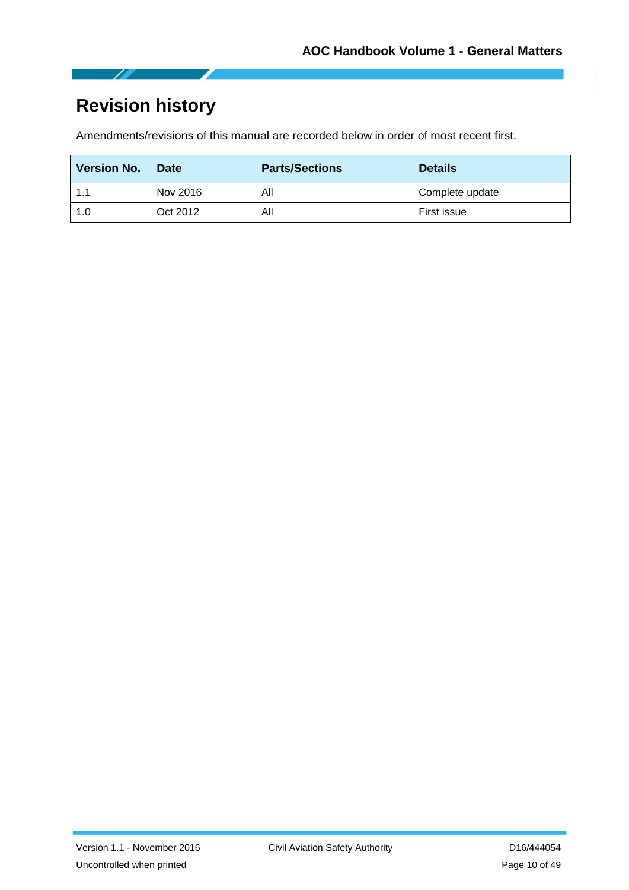<span id="page-9-0"></span>

Amendments/revisions of this manual are recorded below in order of most recent first.

| <b>Version No.</b> | <b>Date</b> | <b>Parts/Sections</b> | <b>Details</b>  |
|--------------------|-------------|-----------------------|-----------------|
| 1.1                | Nov 2016    | All                   | Complete update |
| 1.0                | Oct 2012    | All                   | First issue     |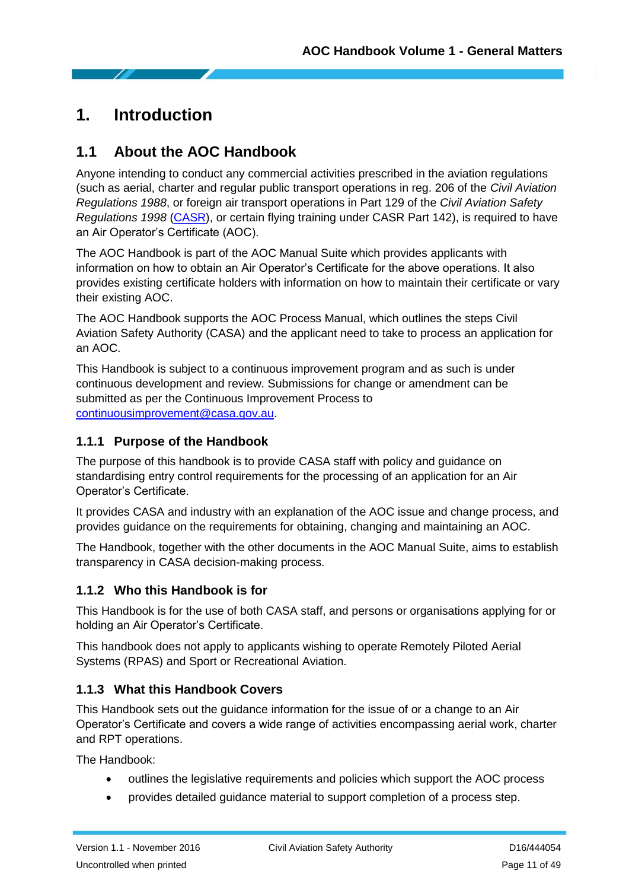## <span id="page-10-0"></span>**1. Introduction**

## <span id="page-10-1"></span>**1.1 About the AOC Handbook**

Anyone intending to conduct any commercial activities prescribed in the aviation regulations (such as aerial, charter and regular public transport operations in reg. 206 of the *Civil Aviation Regulations 1988*, or foreign air transport operations in Part 129 of the *Civil Aviation Safety Regulations 1998* [\(CASR\)](https://www.legislation.gov.au/Details/F2015L01995), or certain flying training under CASR Part 142), is required to have an Air Operator's Certificate (AOC).

The AOC Handbook is part of the AOC Manual Suite which provides applicants with information on how to obtain an Air Operator's Certificate for the above operations. It also provides existing certificate holders with information on how to maintain their certificate or vary their existing AOC.

The AOC Handbook supports the AOC Process Manual, which outlines the steps Civil Aviation Safety Authority (CASA) and the applicant need to take to process an application for an AOC.

This Handbook is subject to a continuous improvement program and as such is under continuous development and review. Submissions for change or amendment can be submitted as per the Continuous Improvement Process to [continuousimprovement@casa.gov.au.](mailto:continuousimprovement@casa.gov.au)

## **1.1.1 Purpose of the Handbook**

The purpose of this handbook is to provide CASA staff with policy and guidance on standardising entry control requirements for the processing of an application for an Air Operator's Certificate.

It provides CASA and industry with an explanation of the AOC issue and change process, and provides guidance on the requirements for obtaining, changing and maintaining an AOC.

The Handbook, together with the other documents in the AOC Manual Suite, aims to establish transparency in CASA decision-making process.

## **1.1.2 Who this Handbook is for**

This Handbook is for the use of both CASA staff, and persons or organisations applying for or holding an Air Operator's Certificate.

This handbook does not apply to applicants wishing to operate Remotely Piloted Aerial Systems (RPAS) and Sport or Recreational Aviation.

## **1.1.3 What this Handbook Covers**

This Handbook sets out the guidance information for the issue of or a change to an Air Operator's Certificate and covers a wide range of activities encompassing aerial work, charter and RPT operations.

The Handbook:

- outlines the legislative requirements and policies which support the AOC process
- provides detailed guidance material to support completion of a process step.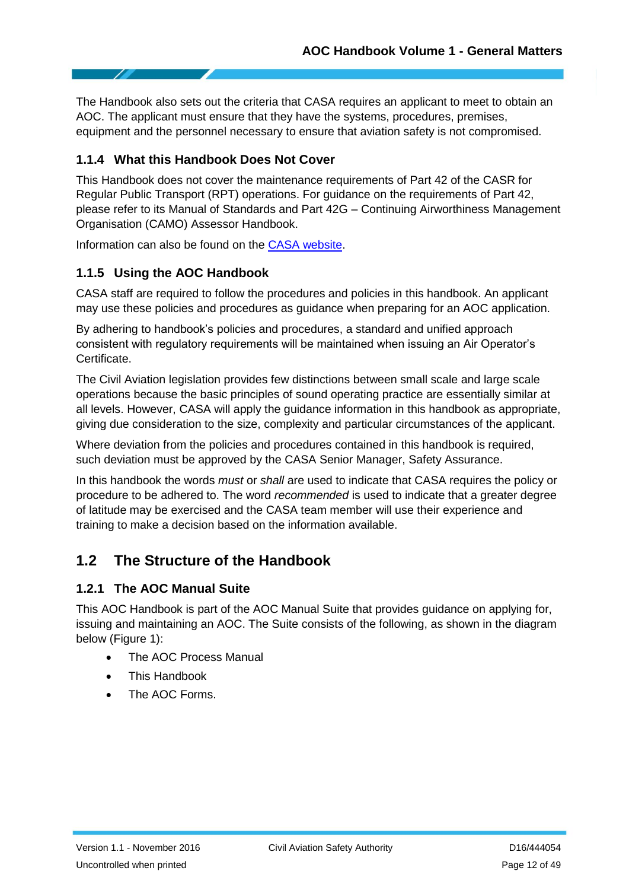The Handbook also sets out the criteria that CASA requires an applicant to meet to obtain an AOC. The applicant must ensure that they have the systems, procedures, premises, equipment and the personnel necessary to ensure that aviation safety is not compromised.

### **1.1.4 What this Handbook Does Not Cover**

This Handbook does not cover the maintenance requirements of Part 42 of the CASR for Regular Public Transport (RPT) operations. For guidance on the requirements of Part 42, please refer to its Manual of Standards and Part 42G – Continuing Airworthiness Management Organisation (CAMO) Assessor Handbook.

Information can also be found on the [CASA website.](https://www.casa.gov.au/)

### **1.1.5 Using the AOC Handbook**

CASA staff are required to follow the procedures and policies in this handbook. An applicant may use these policies and procedures as guidance when preparing for an AOC application.

By adhering to handbook's policies and procedures, a standard and unified approach consistent with regulatory requirements will be maintained when issuing an Air Operator's Certificate.

The Civil Aviation legislation provides few distinctions between small scale and large scale operations because the basic principles of sound operating practice are essentially similar at all levels. However, CASA will apply the guidance information in this handbook as appropriate, giving due consideration to the size, complexity and particular circumstances of the applicant.

Where deviation from the policies and procedures contained in this handbook is required, such deviation must be approved by the CASA Senior Manager, Safety Assurance.

In this handbook the words *must* or *shall* are used to indicate that CASA requires the policy or procedure to be adhered to. The word *recommended* is used to indicate that a greater degree of latitude may be exercised and the CASA team member will use their experience and training to make a decision based on the information available.

## <span id="page-11-0"></span>**1.2 The Structure of the Handbook**

### **1.2.1 The AOC Manual Suite**

This AOC Handbook is part of the AOC Manual Suite that provides guidance on applying for, issuing and maintaining an AOC. The Suite consists of the following, as shown in the diagram below (Figure 1):

- The AOC Process Manual
- This Handbook
- The AOC Forms.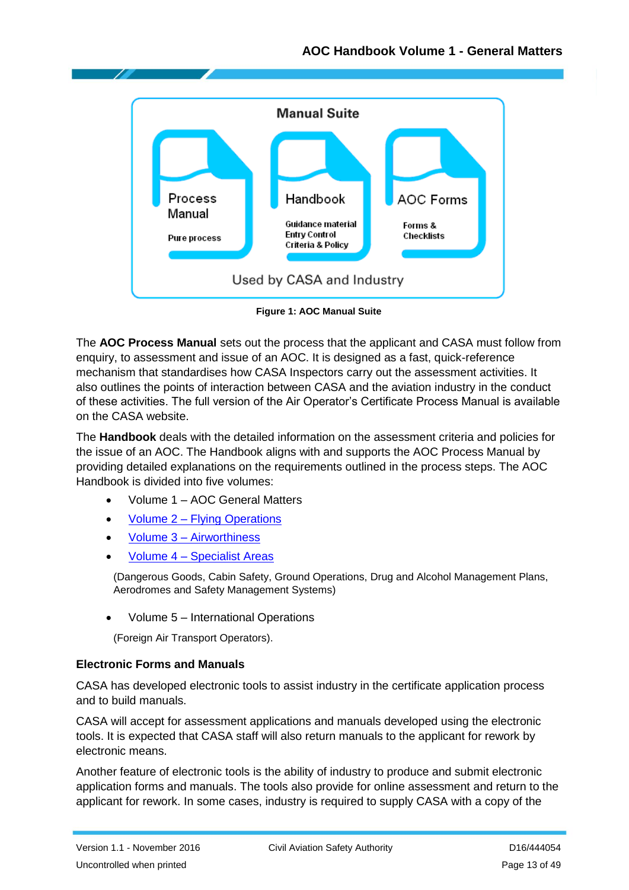

**Figure 1: AOC Manual Suite**

The **AOC Process Manual** sets out the process that the applicant and CASA must follow from enquiry, to assessment and issue of an AOC. It is designed as a fast, quick-reference mechanism that standardises how CASA Inspectors carry out the assessment activities. It also outlines the points of interaction between CASA and the aviation industry in the conduct of these activities. The full version of the Air Operator's Certificate Process Manual is available on the CASA website.

The **Handbook** deals with the detailed information on the assessment criteria and policies for the issue of an AOC. The Handbook aligns with and supports the AOC Process Manual by providing detailed explanations on the requirements outlined in the process steps. The AOC Handbook is divided into five volumes:

- Volume 1 AOC General Matters
- Volume 2 [Flying Operations](https://www.casa.gov.au/standard-page/handbook-vol-2-flying-operations)
- Volume 3 [Airworthiness](https://www.casa.gov.au/standard-page/handbook-vol-3-airworthiness)
- Volume 4 [Specialist Areas](https://www.casa.gov.au/standard-page/handbook-vol-4-specialist-areas)

(Dangerous Goods, Cabin Safety, Ground Operations, Drug and Alcohol Management Plans, Aerodromes and Safety Management Systems)

Volume 5 – International Operations

(Foreign Air Transport Operators).

### **Electronic Forms and Manuals**

CASA has developed electronic tools to assist industry in the certificate application process and to build manuals.

CASA will accept for assessment applications and manuals developed using the electronic tools. It is expected that CASA staff will also return manuals to the applicant for rework by electronic means.

Another feature of electronic tools is the ability of industry to produce and submit electronic application forms and manuals. The tools also provide for online assessment and return to the applicant for rework. In some cases, industry is required to supply CASA with a copy of the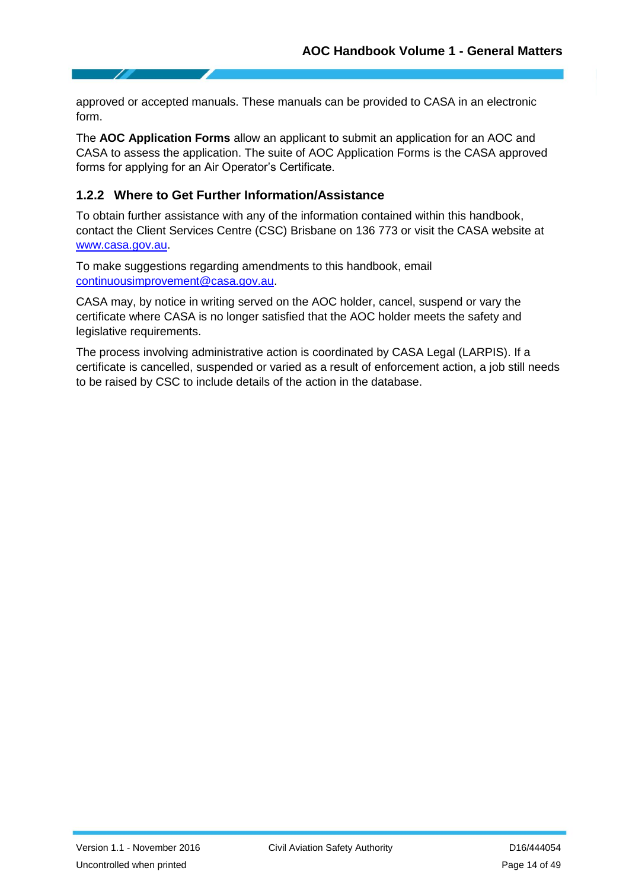approved or accepted manuals. These manuals can be provided to CASA in an electronic form.

The **AOC Application Forms** allow an applicant to submit an application for an AOC and CASA to assess the application. The suite of AOC Application Forms is the CASA approved forms for applying for an Air Operator's Certificate.

### **1.2.2 Where to Get Further Information/Assistance**

To obtain further assistance with any of the information contained within this handbook, contact the Client Services Centre (CSC) Brisbane on 136 773 or visit the CASA website at [www.casa.gov.au.](http://www.casa.gov.au/)

To make suggestions regarding amendments to this handbook, email [continuousimprovement@casa.gov.au.](mailto:continuousimprovement@casa.gov.au)

CASA may, by notice in writing served on the AOC holder, cancel, suspend or vary the certificate where CASA is no longer satisfied that the AOC holder meets the safety and legislative requirements.

The process involving administrative action is coordinated by CASA Legal (LARPIS). If a certificate is cancelled, suspended or varied as a result of enforcement action, a job still needs to be raised by CSC to include details of the action in the database.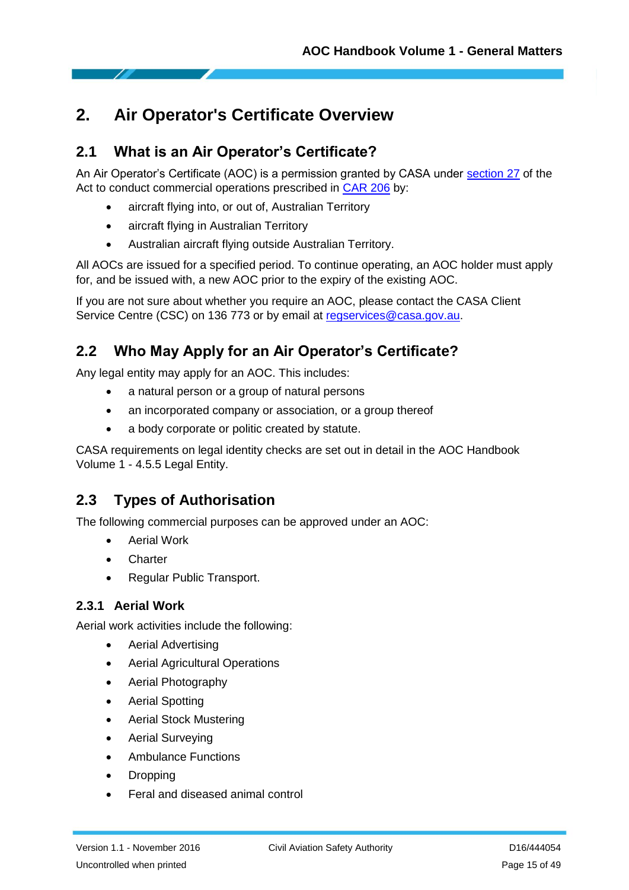# <span id="page-14-0"></span>**2. Air Operator's Certificate Overview**

## <span id="page-14-1"></span>**2.1 What is an Air Operator's Certificate?**

An Air Operator's Certificate (AOC) is a permission granted by CASA under [section 27](https://www.legislation.gov.au/Details/C2011C00210) of the Act to conduct commercial operations prescribed in [CAR 206](http://www.austlii.edu.au/au/legis/cth/consol_reg/car1988263/s206.html) by:

- aircraft flying into, or out of, Australian Territory
- aircraft flying in Australian Territory
- Australian aircraft flying outside Australian Territory.

All AOCs are issued for a specified period. To continue operating, an AOC holder must apply for, and be issued with, a new AOC prior to the expiry of the existing AOC.

If you are not sure about whether you require an AOC, please contact the CASA Client Service Centre (CSC) on 136 773 or by email at [regservices@casa.gov.au.](mailto:regservices@casa.gov.au)

## <span id="page-14-2"></span>**2.2 Who May Apply for an Air Operator's Certificate?**

Any legal entity may apply for an AOC. This includes:

- a natural person or a group of natural persons
- an incorporated company or association, or a group thereof
- a body corporate or politic created by statute.

CASA requirements on legal identity checks are set out in detail in the AOC Handbook Volume 1 - 4.5.5 Legal Entity.

## <span id="page-14-3"></span>**2.3 Types of Authorisation**

The following commercial purposes can be approved under an AOC:

- Aerial Work
- **Charter**
- Regular Public Transport.

### **2.3.1 Aerial Work**

Aerial work activities include the following:

- Aerial Advertising
- Aerial Agricultural Operations
- Aerial Photography
- Aerial Spotting
- Aerial Stock Mustering
- Aerial Surveying
- Ambulance Functions
- Dropping
- Feral and diseased animal control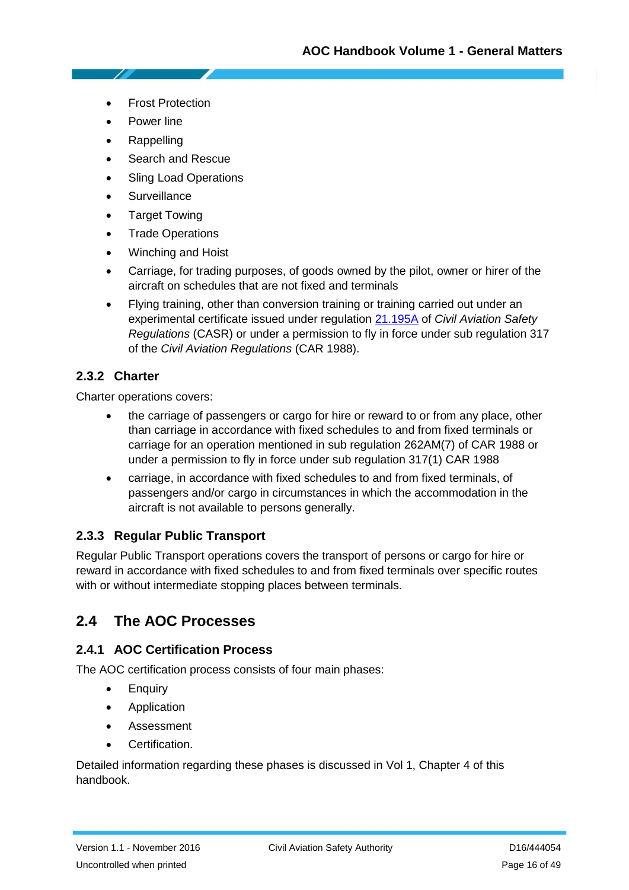- Frost Protection
- Power line
- Rappelling
- Search and Rescue
- Sling Load Operations
- **Surveillance**
- **Target Towing**
- Trade Operations
- Winching and Hoist
- Carriage, for trading purposes, of goods owned by the pilot, owner or hirer of the aircraft on schedules that are not fixed and terminals
- Flying training, other than conversion training or training carried out under an experimental certificate issued under regulation [21.195A](http://www.austlii.edu.au/au/legis/cth/num_reg/car19981998n237290/s21.195a.html) of *Civil Aviation Safety Regulations* (CASR) or under a permission to fly in force under sub regulation 317 of the *Civil Aviation Regulations* (CAR 1988).

## **2.3.2 Charter**

Charter operations covers:

- the carriage of passengers or cargo for hire or reward to or from any place, other than carriage in accordance with fixed schedules to and from fixed terminals or carriage for an operation mentioned in sub regulation 262AM(7) of CAR 1988 or under a permission to fly in force under sub regulation 317(1) CAR 1988
- carriage, in accordance with fixed schedules to and from fixed terminals, of passengers and/or cargo in circumstances in which the accommodation in the aircraft is not available to persons generally.

## **2.3.3 Regular Public Transport**

Regular Public Transport operations covers the transport of persons or cargo for hire or reward in accordance with fixed schedules to and from fixed terminals over specific routes with or without intermediate stopping places between terminals.

## <span id="page-15-0"></span>**2.4 The AOC Processes**

### **2.4.1 AOC Certification Process**

The AOC certification process consists of four main phases:

- Enquiry
- Application
- Assessment
- Certification.

Detailed information regarding these phases is discussed in Vol 1, Chapter 4 of this handbook.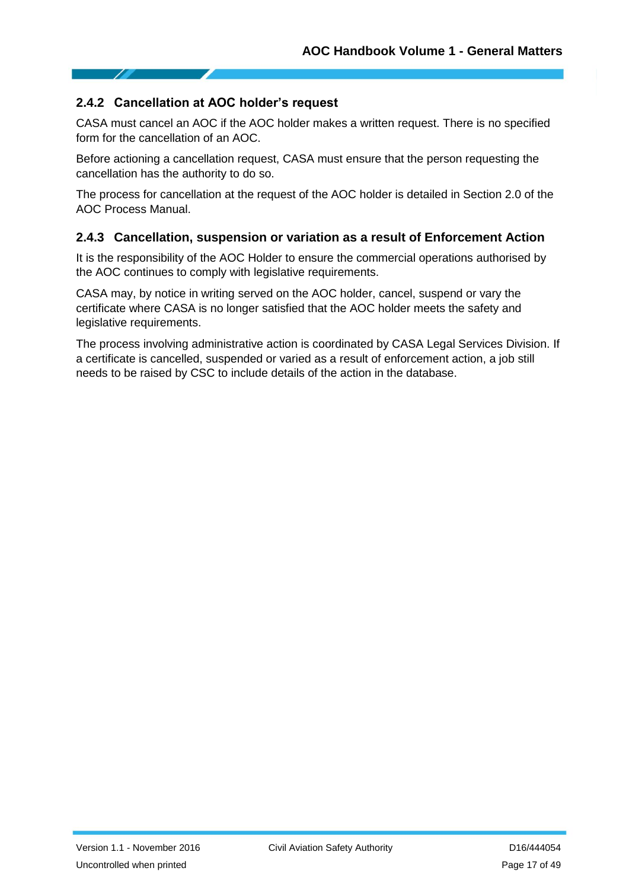### **2.4.2 Cancellation at AOC holder's request**

CASA must cancel an AOC if the AOC holder makes a written request. There is no specified form for the cancellation of an AOC.

Before actioning a cancellation request, CASA must ensure that the person requesting the cancellation has the authority to do so.

The process for cancellation at the request of the AOC holder is detailed in Section 2.0 of the AOC Process Manual.

### **2.4.3 Cancellation, suspension or variation as a result of Enforcement Action**

It is the responsibility of the AOC Holder to ensure the commercial operations authorised by the AOC continues to comply with legislative requirements.

CASA may, by notice in writing served on the AOC holder, cancel, suspend or vary the certificate where CASA is no longer satisfied that the AOC holder meets the safety and legislative requirements.

The process involving administrative action is coordinated by CASA Legal Services Division. If a certificate is cancelled, suspended or varied as a result of enforcement action, a job still needs to be raised by CSC to include details of the action in the database.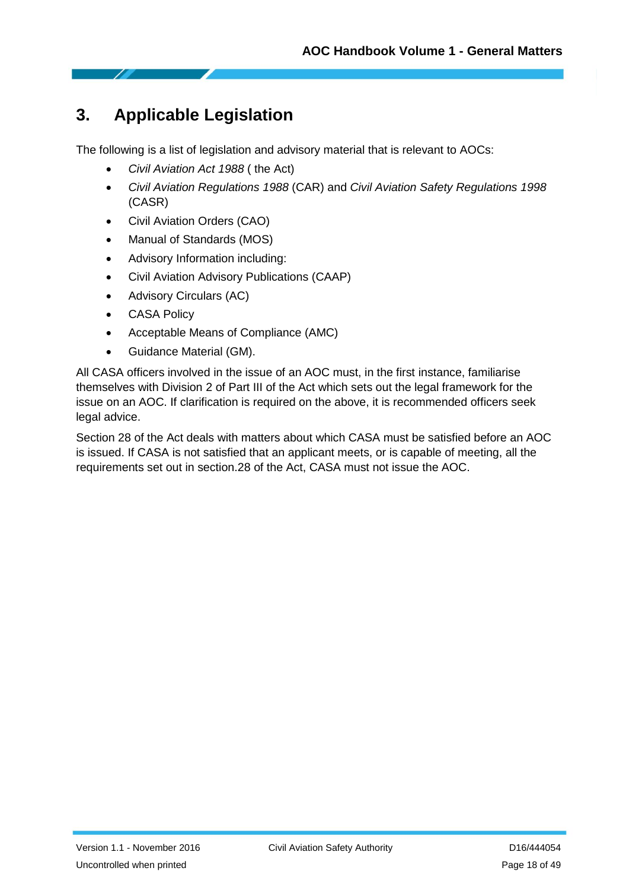# <span id="page-17-0"></span>**3. Applicable Legislation**

The following is a list of legislation and advisory material that is relevant to AOCs:

- *Civil Aviation Act 1988* ( the Act)
- *Civil Aviation Regulations 1988* (CAR) and *Civil Aviation Safety Regulations 1998* (CASR)
- Civil Aviation Orders (CAO)
- Manual of Standards (MOS)
- Advisory Information including:
- Civil Aviation Advisory Publications (CAAP)
- Advisory Circulars (AC)
- CASA Policy
- Acceptable Means of Compliance (AMC)
- Guidance Material (GM).

All CASA officers involved in the issue of an AOC must, in the first instance, familiarise themselves with Division 2 of Part III of the Act which sets out the legal framework for the issue on an AOC. If clarification is required on the above, it is recommended officers seek legal advice.

Section 28 of the Act deals with matters about which CASA must be satisfied before an AOC is issued. If CASA is not satisfied that an applicant meets, or is capable of meeting, all the requirements set out in section.28 of the Act, CASA must not issue the AOC.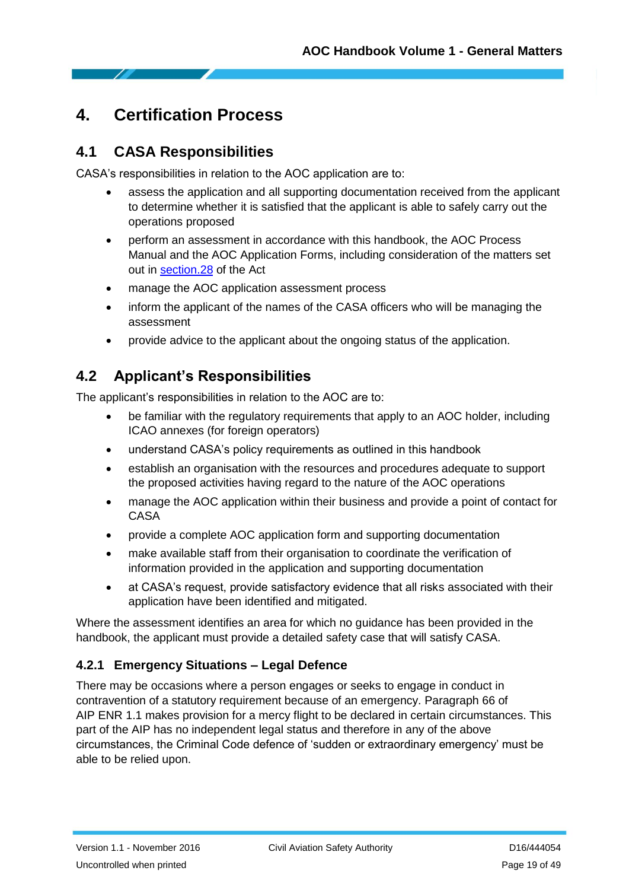# <span id="page-18-0"></span>**4. Certification Process**

## <span id="page-18-1"></span>**4.1 CASA Responsibilities**

CASA's responsibilities in relation to the AOC application are to:

- assess the application and all supporting documentation received from the applicant to determine whether it is satisfied that the applicant is able to safely carry out the operations proposed
- perform an assessment in accordance with this handbook, the AOC Process Manual and the AOC Application Forms, including consideration of the matters set out in [section.28](http://casaconnect/tools/legislation/index.htm) of the Act
- manage the AOC application assessment process
- inform the applicant of the names of the CASA officers who will be managing the assessment
- provide advice to the applicant about the ongoing status of the application.

## <span id="page-18-2"></span>**4.2 Applicant's Responsibilities**

The applicant's responsibilities in relation to the AOC are to:

- be familiar with the regulatory requirements that apply to an AOC holder, including ICAO annexes (for foreign operators)
- understand CASA's policy requirements as outlined in this handbook
- establish an organisation with the resources and procedures adequate to support the proposed activities having regard to the nature of the AOC operations
- manage the AOC application within their business and provide a point of contact for CASA
- provide a complete AOC application form and supporting documentation
- make available staff from their organisation to coordinate the verification of information provided in the application and supporting documentation
- at CASA's request, provide satisfactory evidence that all risks associated with their application have been identified and mitigated.

Where the assessment identifies an area for which no guidance has been provided in the handbook, the applicant must provide a detailed safety case that will satisfy CASA.

## **4.2.1 Emergency Situations – Legal Defence**

There may be occasions where a person engages or seeks to engage in conduct in contravention of a statutory requirement because of an emergency. Paragraph 66 of AIP ENR 1.1 makes provision for a mercy flight to be declared in certain circumstances. This part of the AIP has no independent legal status and therefore in any of the above circumstances, the Criminal Code defence of 'sudden or extraordinary emergency' must be able to be relied upon.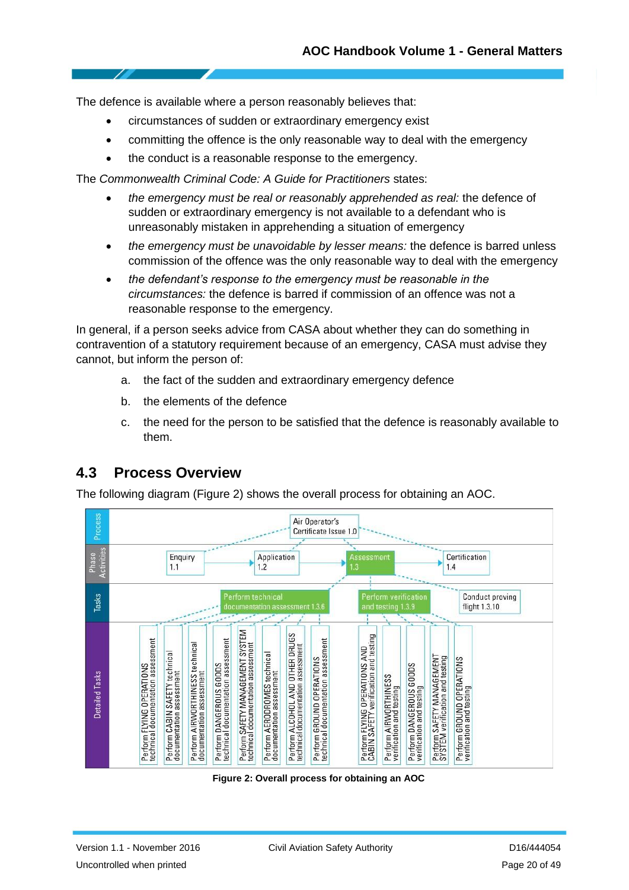The defence is available where a person reasonably believes that:

- circumstances of sudden or extraordinary emergency exist
- committing the offence is the only reasonable way to deal with the emergency
- the conduct is a reasonable response to the emergency.

The *Commonwealth Criminal Code: A Guide for Practitioners* states:

- *the emergency must be real or reasonably apprehended as real:* the defence of sudden or extraordinary emergency is not available to a defendant who is unreasonably mistaken in apprehending a situation of emergency
- *the emergency must be unavoidable by lesser means:* the defence is barred unless commission of the offence was the only reasonable way to deal with the emergency
- *the defendant's response to the emergency must be reasonable in the circumstances:* the defence is barred if commission of an offence was not a reasonable response to the emergency.

In general, if a person seeks advice from CASA about whether they can do something in contravention of a statutory requirement because of an emergency, CASA must advise they cannot, but inform the person of:

- a. the fact of the sudden and extraordinary emergency defence
- b. the elements of the defence
- c. the need for the person to be satisfied that the defence is reasonably available to them.

### <span id="page-19-0"></span>**4.3 Process Overview**

The following diagram (Figure 2) shows the overall process for obtaining an AOC.



**Figure 2: Overall process for obtaining an AOC**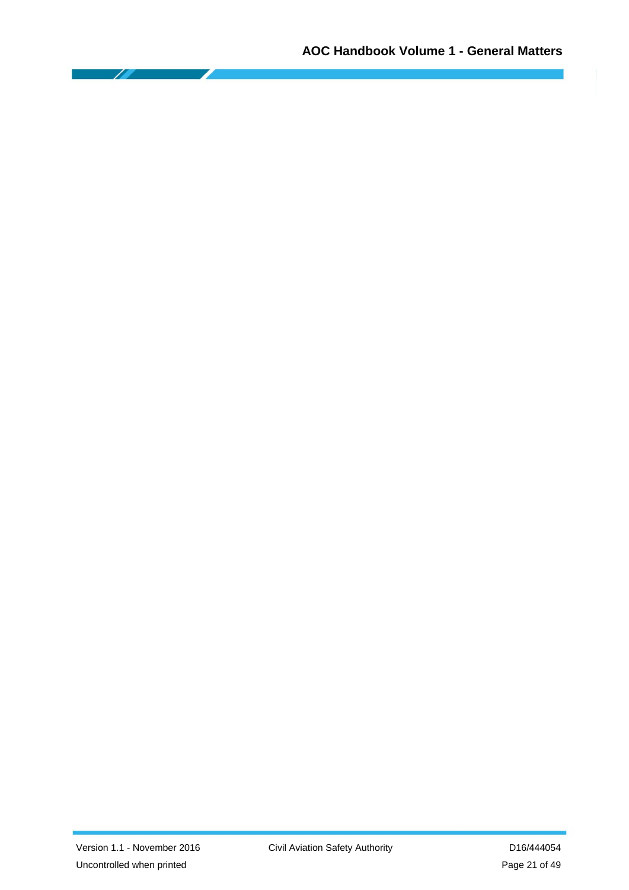- To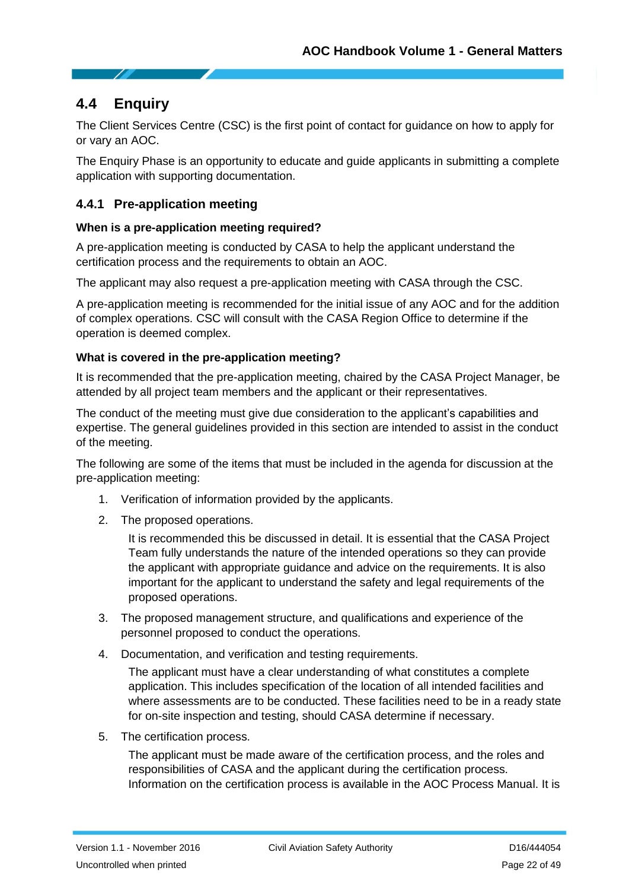## <span id="page-21-0"></span>**4.4 Enquiry**

The Client Services Centre (CSC) is the first point of contact for guidance on how to apply for or vary an AOC.

The Enquiry Phase is an opportunity to educate and guide applicants in submitting a complete application with supporting documentation.

## **4.4.1 Pre-application meeting**

#### **When is a pre-application meeting required?**

A pre-application meeting is conducted by CASA to help the applicant understand the certification process and the requirements to obtain an AOC.

The applicant may also request a pre-application meeting with CASA through the CSC.

A pre-application meeting is recommended for the initial issue of any AOC and for the addition of complex operations. CSC will consult with the CASA Region Office to determine if the operation is deemed complex.

#### **What is covered in the pre-application meeting?**

It is recommended that the pre-application meeting, chaired by the CASA Project Manager, be attended by all project team members and the applicant or their representatives.

The conduct of the meeting must give due consideration to the applicant's capabilities and expertise. The general guidelines provided in this section are intended to assist in the conduct of the meeting.

The following are some of the items that must be included in the agenda for discussion at the pre-application meeting:

- 1. Verification of information provided by the applicants.
- 2. The proposed operations.

It is recommended this be discussed in detail. It is essential that the CASA Project Team fully understands the nature of the intended operations so they can provide the applicant with appropriate guidance and advice on the requirements. It is also important for the applicant to understand the safety and legal requirements of the proposed operations.

- 3. The proposed management structure, and qualifications and experience of the personnel proposed to conduct the operations.
- 4. Documentation, and verification and testing requirements.

The applicant must have a clear understanding of what constitutes a complete application. This includes specification of the location of all intended facilities and where assessments are to be conducted. These facilities need to be in a ready state for on-site inspection and testing, should CASA determine if necessary.

5. The certification process.

The applicant must be made aware of the certification process, and the roles and responsibilities of CASA and the applicant during the certification process. Information on the certification process is available in the AOC Process Manual. It is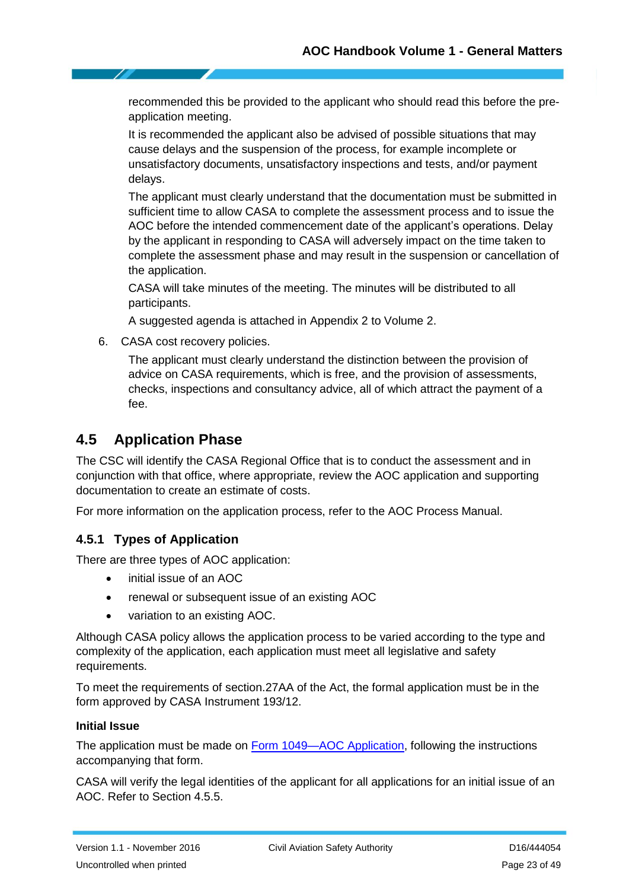recommended this be provided to the applicant who should read this before the preapplication meeting.

It is recommended the applicant also be advised of possible situations that may cause delays and the suspension of the process, for example incomplete or unsatisfactory documents, unsatisfactory inspections and tests, and/or payment delays.

The applicant must clearly understand that the documentation must be submitted in sufficient time to allow CASA to complete the assessment process and to issue the AOC before the intended commencement date of the applicant's operations. Delay by the applicant in responding to CASA will adversely impact on the time taken to complete the assessment phase and may result in the suspension or cancellation of the application.

CASA will take minutes of the meeting. The minutes will be distributed to all participants.

A suggested agenda is attached in Appendix 2 to Volume 2.

6. CASA cost recovery policies.

The applicant must clearly understand the distinction between the provision of advice on CASA requirements, which is free, and the provision of assessments, checks, inspections and consultancy advice, all of which attract the payment of a fee.

## <span id="page-22-0"></span>**4.5 Application Phase**

The CSC will identify the CASA Regional Office that is to conduct the assessment and in conjunction with that office, where appropriate, review the AOC application and supporting documentation to create an estimate of costs.

For more information on the application process, refer to the AOC Process Manual.

## **4.5.1 Types of Application**

There are three types of AOC application:

- initial issue of an AOC
- renewal or subsequent issue of an existing AOC
- variation to an existing AOC.

Although CASA policy allows the application process to be varied according to the type and complexity of the application, each application must meet all legislative and safety requirements.

To meet the requirements of section.27AA of the Act, the formal application must be in the form approved by CASA Instrument 193/12.

#### **Initial Issue**

The application must be made on **Form 1049—AOC Application**, following the instructions accompanying that form.

CASA will verify the legal identities of the applicant for all applications for an initial issue of an AOC. Refer to Section 4.5.5.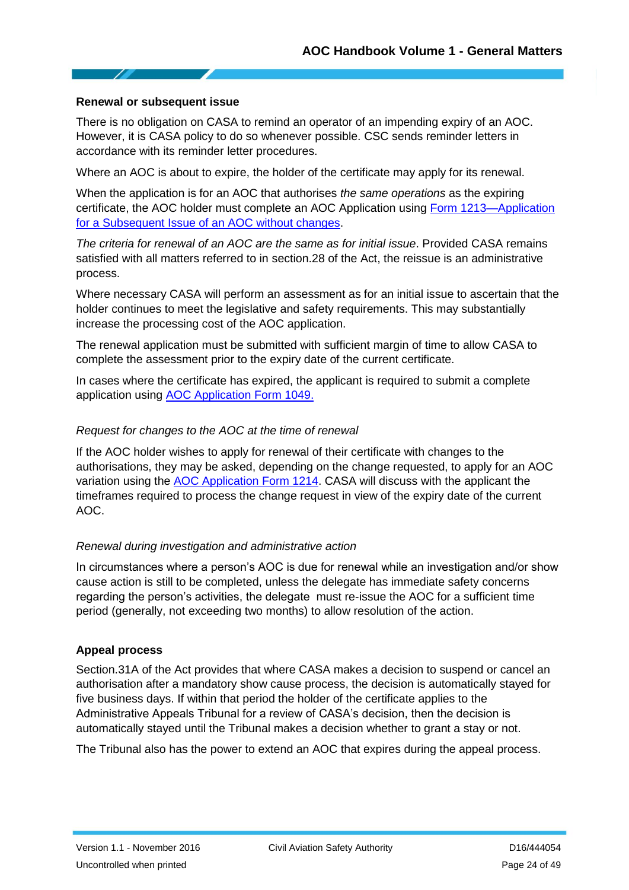#### **Renewal or subsequent issue**

There is no obligation on CASA to remind an operator of an impending expiry of an AOC. However, it is CASA policy to do so whenever possible. CSC sends reminder letters in accordance with its reminder letter procedures.

Where an AOC is about to expire, the holder of the certificate may apply for its renewal.

When the application is for an AOC that authorises *the same operations* as the expiring certificate, the AOC holder must complete an AOC Application using [Form 1213—Application](https://www.casa.gov.au/page/PC_100933)  [for a Subsequent Issue of an AOC without changes.](https://www.casa.gov.au/page/PC_100933)

*The criteria for renewal of an AOC are the same as for initial issue*. Provided CASA remains satisfied with all matters referred to in section.28 of the Act, the reissue is an administrative process.

Where necessary CASA will perform an assessment as for an initial issue to ascertain that the holder continues to meet the legislative and safety requirements. This may substantially increase the processing cost of the AOC application.

The renewal application must be submitted with sufficient margin of time to allow CASA to complete the assessment prior to the expiry date of the current certificate.

In cases where the certificate has expired, the applicant is required to submit a complete application using [AOC Application Form 1049.](https://www.casa.gov.au/page/PC_100931)

#### *Request for changes to the AOC at the time of renewal*

If the AOC holder wishes to apply for renewal of their certificate with changes to the authorisations, they may be asked, depending on the change requested, to apply for an AOC variation using the **AOC Application Form 1214**. CASA will discuss with the applicant the timeframes required to process the change request in view of the expiry date of the current AOC.

#### *Renewal during investigation and administrative action*

In circumstances where a person's AOC is due for renewal while an investigation and/or show cause action is still to be completed, unless the delegate has immediate safety concerns regarding the person's activities, the delegate must re-issue the AOC for a sufficient time period (generally, not exceeding two months) to allow resolution of the action.

#### **Appeal process**

Section.31A of the Act provides that where CASA makes a decision to suspend or cancel an authorisation after a mandatory show cause process, the decision is automatically stayed for five business days. If within that period the holder of the certificate applies to the Administrative Appeals Tribunal for a review of CASA's decision, then the decision is automatically stayed until the Tribunal makes a decision whether to grant a stay or not.

The Tribunal also has the power to extend an AOC that expires during the appeal process.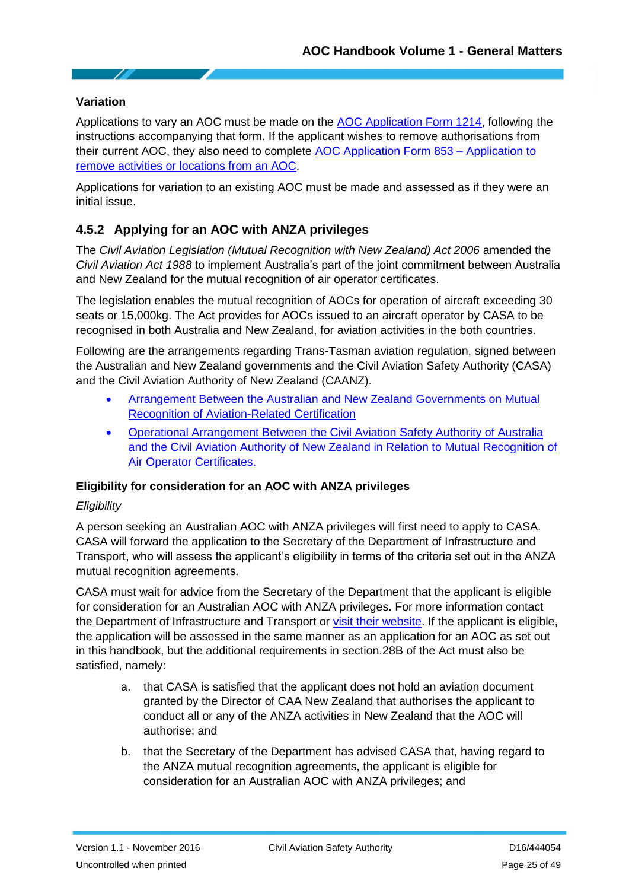#### **Variation**

Applications to vary an AOC must be made on the [AOC Application Form 1214,](https://www.casa.gov.au/casa-form/form-1214-complete-application-aoc-variation) following the instructions accompanying that form. If the applicant wishes to remove authorisations from their current AOC, they also need to complete [AOC Application Form 853 –](https://www.casa.gov.au/files/form853pdf) Application to [remove activities or locations from an AOC.](https://www.casa.gov.au/files/form853pdf)

Applications for variation to an existing AOC must be made and assessed as if they were an initial issue.

## **4.5.2 Applying for an AOC with ANZA privileges**

The *Civil Aviation Legislation (Mutual Recognition with New Zealand) Act 2006* amended the *Civil Aviation Act 1988* to implement Australia's part of the joint commitment between Australia and New Zealand for the mutual recognition of air operator certificates.

The legislation enables the mutual recognition of AOCs for operation of aircraft exceeding 30 seats or 15,000kg. The Act provides for AOCs issued to an aircraft operator by CASA to be recognised in both Australia and New Zealand, for aviation activities in the both countries.

Following are the arrangements regarding Trans-Tasman aviation regulation, signed between the Australian and New Zealand governments and the Civil Aviation Safety Authority (CASA) and the Civil Aviation Authority of New Zealand (CAANZ).

- [Arrangement Between the Australian and New Zealand Governments on Mutual](https://www.casa.gov.au/standard-page/anza-privileges)  [Recognition of Aviation-Related Certification](https://www.casa.gov.au/standard-page/anza-privileges)
- [Operational Arrangement Between the Civil Aviation Safety Authority of Australia](http://search.infrastructure.gov.au/search/click.cgi?rank=2&collection=infrastructure&url=https%3A%2F%2Finfrastructure.gov.au%2Faviation%2Flegislation%2Famendment%2Fdoc%2FAust-NZ_MR_Operational_Arrangement.doc&index_url=https%3A%2F%2Finfrastructure.gov.au%2Faviation%2Flegislation%2Famendment%2Fdoc%2FAust-NZ_MR_Operational_Arrangement.doc&auth=KBXWYCD4SEqN7lK%2BmGg9IQ&search_referer=&query=%22operational%20arrangement%22&profile=_default&identifier=1476069100.39655)  [and the Civil Aviation Authority of New Zealand in Relation to Mutual Recognition of](http://search.infrastructure.gov.au/search/click.cgi?rank=2&collection=infrastructure&url=https%3A%2F%2Finfrastructure.gov.au%2Faviation%2Flegislation%2Famendment%2Fdoc%2FAust-NZ_MR_Operational_Arrangement.doc&index_url=https%3A%2F%2Finfrastructure.gov.au%2Faviation%2Flegislation%2Famendment%2Fdoc%2FAust-NZ_MR_Operational_Arrangement.doc&auth=KBXWYCD4SEqN7lK%2BmGg9IQ&search_referer=&query=%22operational%20arrangement%22&profile=_default&identifier=1476069100.39655)  [Air Operator Certificates.](http://search.infrastructure.gov.au/search/click.cgi?rank=2&collection=infrastructure&url=https%3A%2F%2Finfrastructure.gov.au%2Faviation%2Flegislation%2Famendment%2Fdoc%2FAust-NZ_MR_Operational_Arrangement.doc&index_url=https%3A%2F%2Finfrastructure.gov.au%2Faviation%2Flegislation%2Famendment%2Fdoc%2FAust-NZ_MR_Operational_Arrangement.doc&auth=KBXWYCD4SEqN7lK%2BmGg9IQ&search_referer=&query=%22operational%20arrangement%22&profile=_default&identifier=1476069100.39655)

#### **Eligibility for consideration for an AOC with ANZA privileges**

#### *Eligibility*

A person seeking an Australian AOC with ANZA privileges will first need to apply to CASA. CASA will forward the application to the Secretary of the Department of Infrastructure and Transport, who will assess the applicant's eligibility in terms of the criteria set out in the ANZA mutual recognition agreements.

CASA must wait for advice from the Secretary of the Department that the applicant is eligible for consideration for an Australian AOC with ANZA privileges. For more information contact the Department of Infrastructure and Transport or [visit their website.](https://infrastructure.gov.au/aviation/legislation/amendment/index.aspx) If the applicant is eligible, the application will be assessed in the same manner as an application for an AOC as set out in this handbook, but the additional requirements in section.28B of the Act must also be satisfied, namely:

- a. that CASA is satisfied that the applicant does not hold an aviation document granted by the Director of CAA New Zealand that authorises the applicant to conduct all or any of the ANZA activities in New Zealand that the AOC will authorise; and
- b. that the Secretary of the Department has advised CASA that, having regard to the ANZA mutual recognition agreements, the applicant is eligible for consideration for an Australian AOC with ANZA privileges; and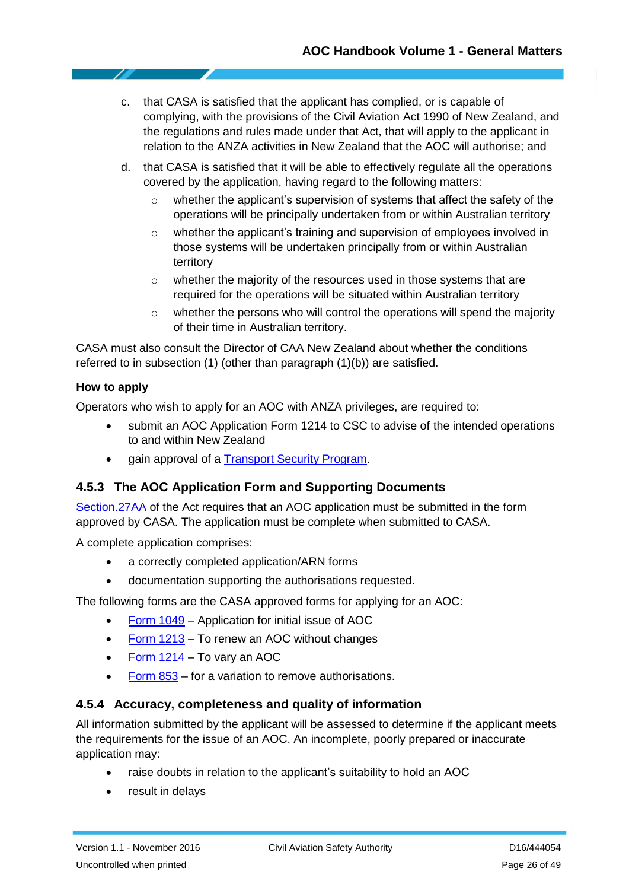- c. that CASA is satisfied that the applicant has complied, or is capable of complying, with the provisions of the Civil Aviation Act 1990 of New Zealand, and the regulations and rules made under that Act, that will apply to the applicant in relation to the ANZA activities in New Zealand that the AOC will authorise; and
- d. that CASA is satisfied that it will be able to effectively regulate all the operations covered by the application, having regard to the following matters:
	- o whether the applicant's supervision of systems that affect the safety of the operations will be principally undertaken from or within Australian territory
	- $\circ$  whether the applicant's training and supervision of employees involved in those systems will be undertaken principally from or within Australian territory
	- o whether the majority of the resources used in those systems that are required for the operations will be situated within Australian territory
	- o whether the persons who will control the operations will spend the majority of their time in Australian territory.

CASA must also consult the Director of CAA New Zealand about whether the conditions referred to in subsection (1) (other than paragraph (1)(b)) are satisfied.

### **How to apply**

Operators who wish to apply for an AOC with ANZA privileges, are required to:

- submit an AOC Application Form 1214 to CSC to advise of the intended operations to and within New Zealand
- gain approval of a [Transport Security Program.](https://infrastructure.gov.au/security/)

## **4.5.3 The AOC Application Form and Supporting Documents**

[Section.27AA](https://www.legislation.gov.au/Details/C2011C00210) of the Act requires that an AOC application must be submitted in the form approved by CASA. The application must be complete when submitted to CASA.

A complete application comprises:

- a correctly completed application/ARN forms
- documentation supporting the authorisations requested.

The following forms are the CASA approved forms for applying for an AOC:

- [Form 1049](https://www.casa.gov.au/page/PC_100931) Application for initial issue of AOC
- Form  $1213 To$  renew an AOC without changes
- [Form 1214](https://www.casa.gov.au/page/PC_100932) To vary an AOC
- [Form 853](https://www.casa.gov.au/files/form853pdf) for a variation to remove authorisations.

## **4.5.4 Accuracy, completeness and quality of information**

All information submitted by the applicant will be assessed to determine if the applicant meets the requirements for the issue of an AOC. An incomplete, poorly prepared or inaccurate application may:

- raise doubts in relation to the applicant's suitability to hold an AOC
- result in delays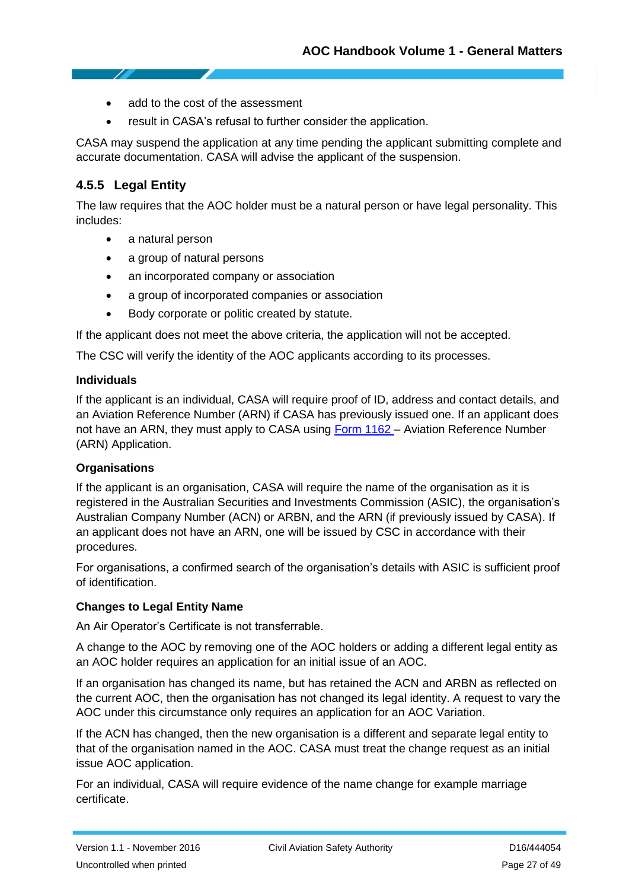- add to the cost of the assessment
- result in CASA's refusal to further consider the application.

CASA may suspend the application at any time pending the applicant submitting complete and accurate documentation. CASA will advise the applicant of the suspension.

## **4.5.5 Legal Entity**

The law requires that the AOC holder must be a natural person or have legal personality. This includes:

- a natural person
- a group of natural persons
- an incorporated company or association
- a group of incorporated companies or association
- Body corporate or politic created by statute.

If the applicant does not meet the above criteria, the application will not be accepted.

The CSC will verify the identity of the AOC applicants according to its processes.

#### **Individuals**

If the applicant is an individual, CASA will require proof of ID, address and contact details, and an Aviation Reference Number (ARN) if CASA has previously issued one. If an applicant does not have an ARN, they must apply to CASA using [Form 1162](https://www.casa.gov.au/files/form1162pdf) – Aviation Reference Number (ARN) Application.

#### **Organisations**

If the applicant is an organisation, CASA will require the name of the organisation as it is registered in the Australian Securities and Investments Commission (ASIC), the organisation's Australian Company Number (ACN) or ARBN, and the ARN (if previously issued by CASA). If an applicant does not have an ARN, one will be issued by CSC in accordance with their procedures.

For organisations, a confirmed search of the organisation's details with ASIC is sufficient proof of identification.

#### **Changes to Legal Entity Name**

An Air Operator's Certificate is not transferrable.

A change to the AOC by removing one of the AOC holders or adding a different legal entity as an AOC holder requires an application for an initial issue of an AOC.

If an organisation has changed its name, but has retained the ACN and ARBN as reflected on the current AOC, then the organisation has not changed its legal identity. A request to vary the AOC under this circumstance only requires an application for an AOC Variation.

If the ACN has changed, then the new organisation is a different and separate legal entity to that of the organisation named in the AOC. CASA must treat the change request as an initial issue AOC application.

For an individual, CASA will require evidence of the name change for example marriage certificate.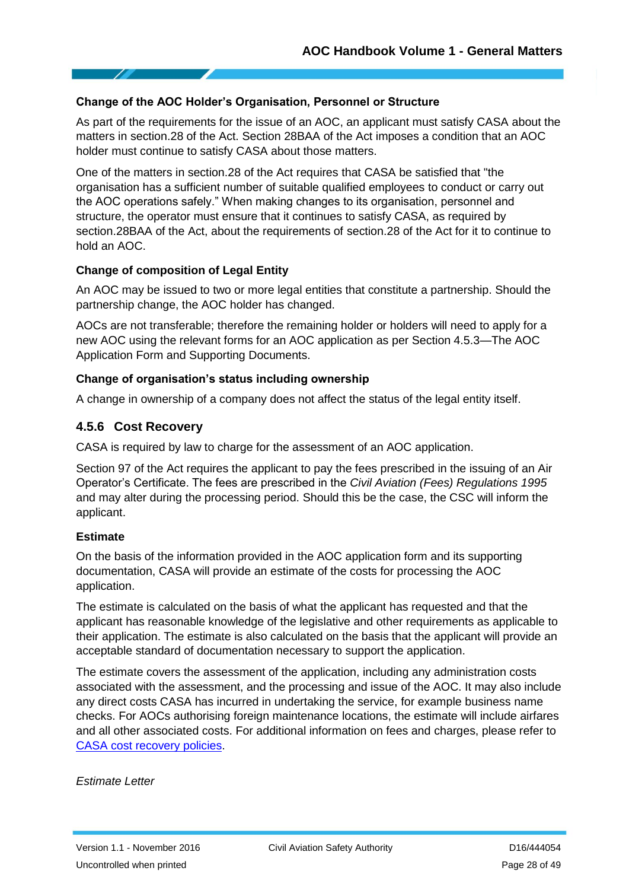#### **Change of the AOC Holder's Organisation, Personnel or Structure**

As part of the requirements for the issue of an AOC, an applicant must satisfy CASA about the matters in section.28 of the Act. Section 28BAA of the Act imposes a condition that an AOC holder must continue to satisfy CASA about those matters.

One of the matters in section.28 of the Act requires that CASA be satisfied that "the organisation has a sufficient number of suitable qualified employees to conduct or carry out the AOC operations safely." When making changes to its organisation, personnel and structure, the operator must ensure that it continues to satisfy CASA, as required by section.28BAA of the Act, about the requirements of section.28 of the Act for it to continue to hold an AOC.

#### **Change of composition of Legal Entity**

An AOC may be issued to two or more legal entities that constitute a partnership. Should the partnership change, the AOC holder has changed.

AOCs are not transferable; therefore the remaining holder or holders will need to apply for a new AOC using the relevant forms for an AOC application as per Section 4.5.3—The AOC Application Form and Supporting Documents.

#### **Change of organisation's status including ownership**

A change in ownership of a company does not affect the status of the legal entity itself.

### **4.5.6 Cost Recovery**

CASA is required by law to charge for the assessment of an AOC application.

Section 97 of the Act requires the applicant to pay the fees prescribed in the issuing of an Air Operator's Certificate. The fees are prescribed in the *Civil Aviation (Fees) Regulations 1995* and may alter during the processing period. Should this be the case, the CSC will inform the applicant.

#### **Estimate**

On the basis of the information provided in the AOC application form and its supporting documentation, CASA will provide an estimate of the costs for processing the AOC application.

The estimate is calculated on the basis of what the applicant has requested and that the applicant has reasonable knowledge of the legislative and other requirements as applicable to their application. The estimate is also calculated on the basis that the applicant will provide an acceptable standard of documentation necessary to support the application.

The estimate covers the assessment of the application, including any administration costs associated with the assessment, and the processing and issue of the AOC. It may also include any direct costs CASA has incurred in undertaking the service, for example business name checks. For AOCs authorising foreign maintenance locations, the estimate will include airfares and all other associated costs. For additional information on fees and charges, please refer to [CASA cost recovery policies.](https://www.casa.gov.au/about-us/standard-page/fees?WCMS%3ASTANDARD%3A%3Apc=PC_91512)

*Estimate Letter*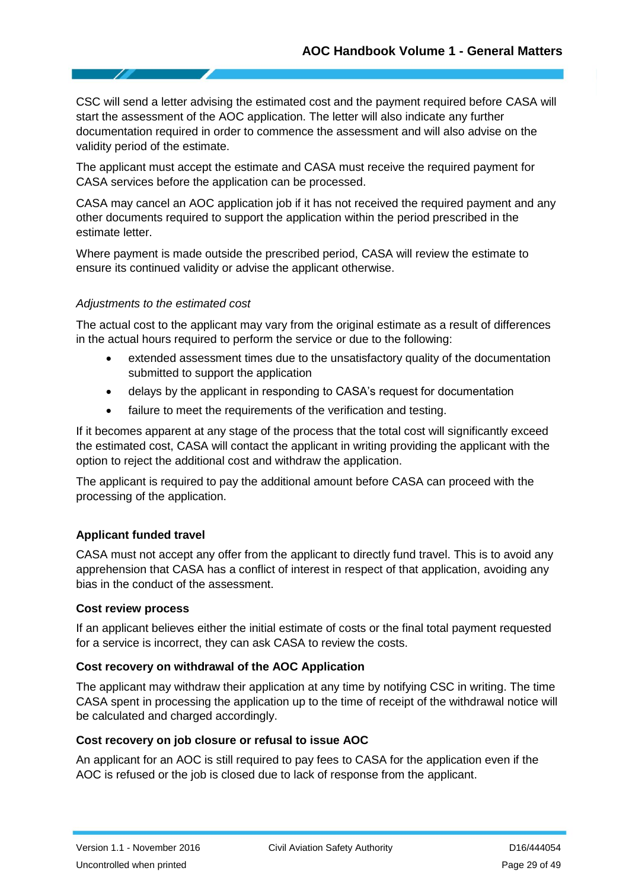CSC will send a letter advising the estimated cost and the payment required before CASA will start the assessment of the AOC application. The letter will also indicate any further documentation required in order to commence the assessment and will also advise on the validity period of the estimate.

The applicant must accept the estimate and CASA must receive the required payment for CASA services before the application can be processed.

CASA may cancel an AOC application job if it has not received the required payment and any other documents required to support the application within the period prescribed in the estimate letter.

Where payment is made outside the prescribed period, CASA will review the estimate to ensure its continued validity or advise the applicant otherwise.

#### *Adjustments to the estimated cost*

The actual cost to the applicant may vary from the original estimate as a result of differences in the actual hours required to perform the service or due to the following:

- extended assessment times due to the unsatisfactory quality of the documentation submitted to support the application
- delays by the applicant in responding to CASA's request for documentation
- failure to meet the requirements of the verification and testing.

If it becomes apparent at any stage of the process that the total cost will significantly exceed the estimated cost, CASA will contact the applicant in writing providing the applicant with the option to reject the additional cost and withdraw the application.

The applicant is required to pay the additional amount before CASA can proceed with the processing of the application.

### **Applicant funded travel**

CASA must not accept any offer from the applicant to directly fund travel. This is to avoid any apprehension that CASA has a conflict of interest in respect of that application, avoiding any bias in the conduct of the assessment.

#### **Cost review process**

If an applicant believes either the initial estimate of costs or the final total payment requested for a service is incorrect, they can ask CASA to review the costs.

#### **Cost recovery on withdrawal of the AOC Application**

The applicant may withdraw their application at any time by notifying CSC in writing. The time CASA spent in processing the application up to the time of receipt of the withdrawal notice will be calculated and charged accordingly.

#### **Cost recovery on job closure or refusal to issue AOC**

An applicant for an AOC is still required to pay fees to CASA for the application even if the AOC is refused or the job is closed due to lack of response from the applicant.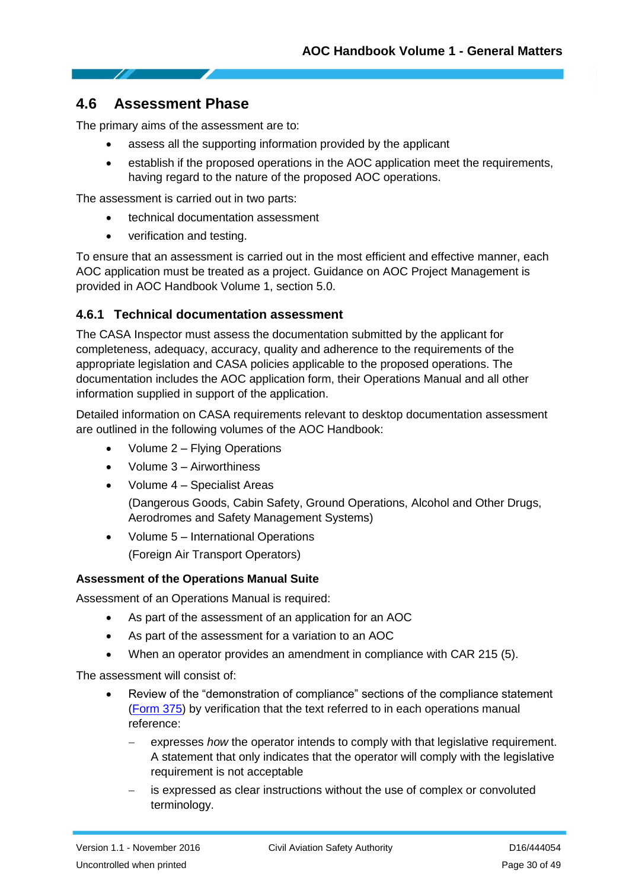## <span id="page-29-0"></span>**4.6 Assessment Phase**

The primary aims of the assessment are to:

- assess all the supporting information provided by the applicant
- establish if the proposed operations in the AOC application meet the requirements, having regard to the nature of the proposed AOC operations.

The assessment is carried out in two parts:

- technical documentation assessment
- verification and testing.

To ensure that an assessment is carried out in the most efficient and effective manner, each AOC application must be treated as a project. Guidance on AOC Project Management is provided in AOC Handbook Volume 1, section 5.0.

### **4.6.1 Technical documentation assessment**

The CASA Inspector must assess the documentation submitted by the applicant for completeness, adequacy, accuracy, quality and adherence to the requirements of the appropriate legislation and CASA policies applicable to the proposed operations. The documentation includes the AOC application form, their Operations Manual and all other information supplied in support of the application.

Detailed information on CASA requirements relevant to desktop documentation assessment are outlined in the following volumes of the AOC Handbook:

- Volume 2 Flying Operations
- Volume 3 Airworthiness
- Volume 4 Specialist Areas

(Dangerous Goods, Cabin Safety, Ground Operations, Alcohol and Other Drugs, Aerodromes and Safety Management Systems)

• Volume 5 – International Operations (Foreign Air Transport Operators)

### **Assessment of the Operations Manual Suite**

Assessment of an Operations Manual is required:

- As part of the assessment of an application for an AOC
- As part of the assessment for a variation to an AOC
- When an operator provides an amendment in compliance with CAR 215 (5).

The assessment will consist of:

- Review of the "demonstration of compliance" sections of the compliance statement [\(Form 375\)](https://www.casa.gov.au/files/form375pdf) by verification that the text referred to in each operations manual reference:
	- expresses *how* the operator intends to comply with that legislative requirement. A statement that only indicates that the operator will comply with the legislative requirement is not acceptable
	- is expressed as clear instructions without the use of complex or convoluted terminology.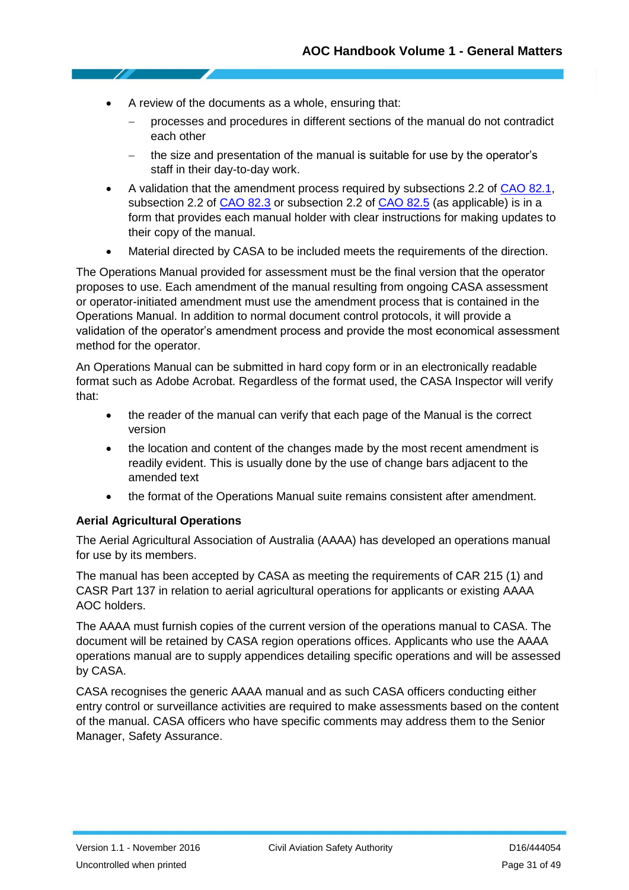- A review of the documents as a whole, ensuring that:
	- processes and procedures in different sections of the manual do not contradict each other
	- the size and presentation of the manual is suitable for use by the operator's staff in their day-to-day work.
- A validation that the amendment process required by subsections 2.2 of [CAO 82.1,](https://www.legislation.gov.au/Details/F2014C00742) subsection 2.2 of [CAO 82.3](https://www.legislation.gov.au/Details/F2015C00117) or subsection 2.2 of [CAO 82.5](https://www.legislation.gov.au/Details/F2015C00131) (as applicable) is in a form that provides each manual holder with clear instructions for making updates to their copy of the manual.
- Material directed by CASA to be included meets the requirements of the direction.

The Operations Manual provided for assessment must be the final version that the operator proposes to use. Each amendment of the manual resulting from ongoing CASA assessment or operator-initiated amendment must use the amendment process that is contained in the Operations Manual. In addition to normal document control protocols, it will provide a validation of the operator's amendment process and provide the most economical assessment method for the operator.

An Operations Manual can be submitted in hard copy form or in an electronically readable format such as Adobe Acrobat. Regardless of the format used, the CASA Inspector will verify that:

- the reader of the manual can verify that each page of the Manual is the correct version
- the location and content of the changes made by the most recent amendment is readily evident. This is usually done by the use of change bars adjacent to the amended text
- the format of the Operations Manual suite remains consistent after amendment.

#### **Aerial Agricultural Operations**

The Aerial Agricultural Association of Australia (AAAA) has developed an operations manual for use by its members.

The manual has been accepted by CASA as meeting the requirements of CAR 215 (1) and CASR Part 137 in relation to aerial agricultural operations for applicants or existing AAAA AOC holders.

The AAAA must furnish copies of the current version of the operations manual to CASA. The document will be retained by CASA region operations offices. Applicants who use the AAAA operations manual are to supply appendices detailing specific operations and will be assessed by CASA.

CASA recognises the generic AAAA manual and as such CASA officers conducting either entry control or surveillance activities are required to make assessments based on the content of the manual. CASA officers who have specific comments may address them to the Senior Manager, Safety Assurance.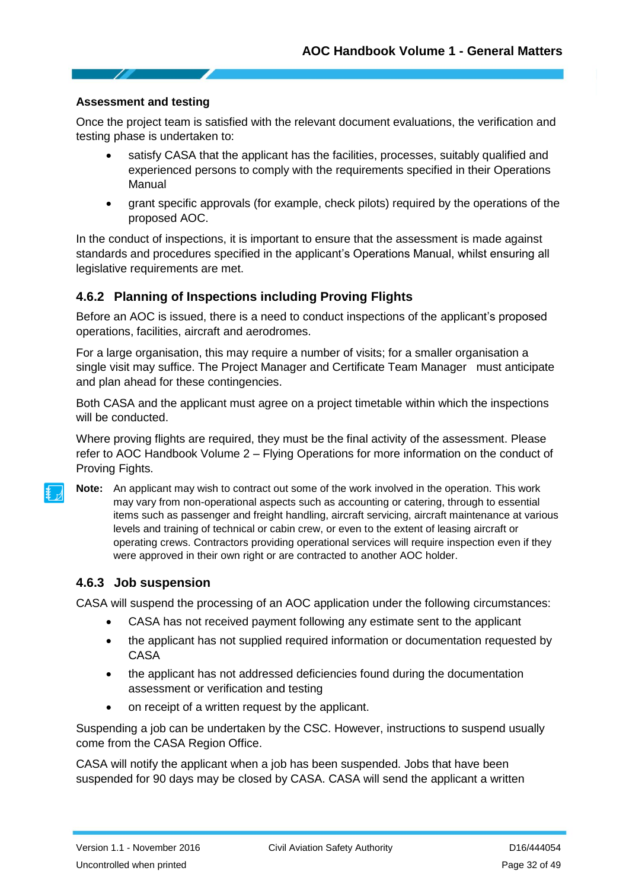#### **Assessment and testing**

Once the project team is satisfied with the relevant document evaluations, the verification and testing phase is undertaken to:

- satisfy CASA that the applicant has the facilities, processes, suitably qualified and experienced persons to comply with the requirements specified in their Operations Manual
- grant specific approvals (for example, check pilots) required by the operations of the proposed AOC.

In the conduct of inspections, it is important to ensure that the assessment is made against standards and procedures specified in the applicant's Operations Manual, whilst ensuring all legislative requirements are met.

### **4.6.2 Planning of Inspections including Proving Flights**

Before an AOC is issued, there is a need to conduct inspections of the applicant's proposed operations, facilities, aircraft and aerodromes.

For a large organisation, this may require a number of visits; for a smaller organisation a single visit may suffice. The Project Manager and Certificate Team Manager must anticipate and plan ahead for these contingencies.

Both CASA and the applicant must agree on a project timetable within which the inspections will be conducted.

Where proving flights are required, they must be the final activity of the assessment. Please refer to AOC Handbook Volume 2 – Flying Operations for more information on the conduct of Proving Fights.

**Note:** An applicant may wish to contract out some of the work involved in the operation. This work may vary from non-operational aspects such as accounting or catering, through to essential items such as passenger and freight handling, aircraft servicing, aircraft maintenance at various levels and training of technical or cabin crew, or even to the extent of leasing aircraft or operating crews. Contractors providing operational services will require inspection even if they were approved in their own right or are contracted to another AOC holder.

### **4.6.3 Job suspension**

CASA will suspend the processing of an AOC application under the following circumstances:

- CASA has not received payment following any estimate sent to the applicant
- the applicant has not supplied required information or documentation requested by CASA
- the applicant has not addressed deficiencies found during the documentation assessment or verification and testing
- on receipt of a written request by the applicant.

Suspending a job can be undertaken by the CSC. However, instructions to suspend usually come from the CASA Region Office.

CASA will notify the applicant when a job has been suspended. Jobs that have been suspended for 90 days may be closed by CASA. CASA will send the applicant a written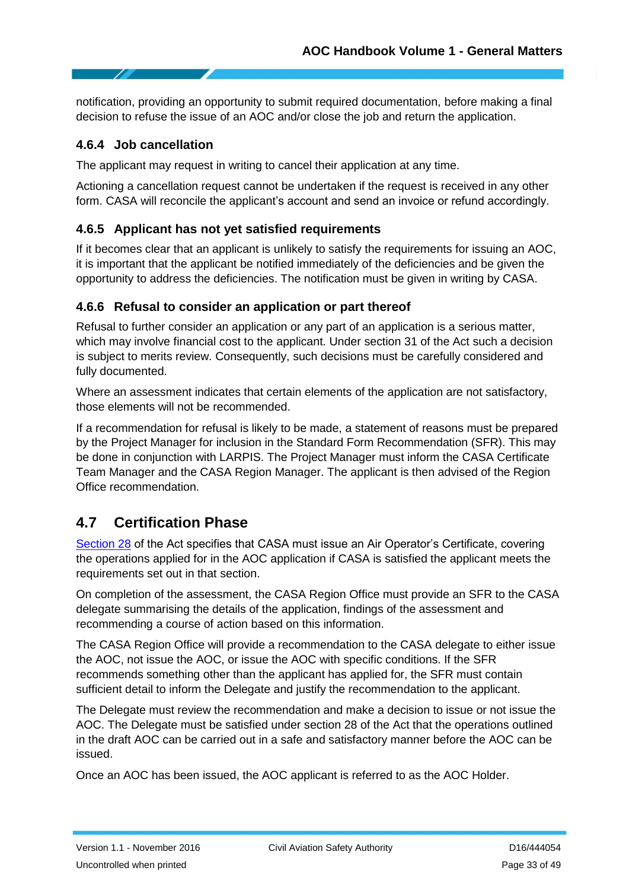notification, providing an opportunity to submit required documentation, before making a final decision to refuse the issue of an AOC and/or close the job and return the application.

### **4.6.4 Job cancellation**

The applicant may request in writing to cancel their application at any time.

Actioning a cancellation request cannot be undertaken if the request is received in any other form. CASA will reconcile the applicant's account and send an invoice or refund accordingly.

## **4.6.5 Applicant has not yet satisfied requirements**

If it becomes clear that an applicant is unlikely to satisfy the requirements for issuing an AOC, it is important that the applicant be notified immediately of the deficiencies and be given the opportunity to address the deficiencies. The notification must be given in writing by CASA.

### **4.6.6 Refusal to consider an application or part thereof**

Refusal to further consider an application or any part of an application is a serious matter, which may involve financial cost to the applicant. Under section 31 of the Act such a decision is subject to merits review. Consequently, such decisions must be carefully considered and fully documented.

Where an assessment indicates that certain elements of the application are not satisfactory, those elements will not be recommended.

If a recommendation for refusal is likely to be made, a statement of reasons must be prepared by the Project Manager for inclusion in the Standard Form Recommendation (SFR). This may be done in conjunction with LARPIS. The Project Manager must inform the CASA Certificate Team Manager and the CASA Region Manager. The applicant is then advised of the Region Office recommendation.

## <span id="page-32-0"></span>**4.7 Certification Phase**

[Section 28](https://www.legislation.gov.au/Details/C2011C00210) of the Act specifies that CASA must issue an Air Operator's Certificate, covering the operations applied for in the AOC application if CASA is satisfied the applicant meets the requirements set out in that section.

On completion of the assessment, the CASA Region Office must provide an SFR to the CASA delegate summarising the details of the application, findings of the assessment and recommending a course of action based on this information.

The CASA Region Office will provide a recommendation to the CASA delegate to either issue the AOC, not issue the AOC, or issue the AOC with specific conditions. If the SFR recommends something other than the applicant has applied for, the SFR must contain sufficient detail to inform the Delegate and justify the recommendation to the applicant.

The Delegate must review the recommendation and make a decision to issue or not issue the AOC. The Delegate must be satisfied under section 28 of the Act that the operations outlined in the draft AOC can be carried out in a safe and satisfactory manner before the AOC can be issued.

Once an AOC has been issued, the AOC applicant is referred to as the AOC Holder.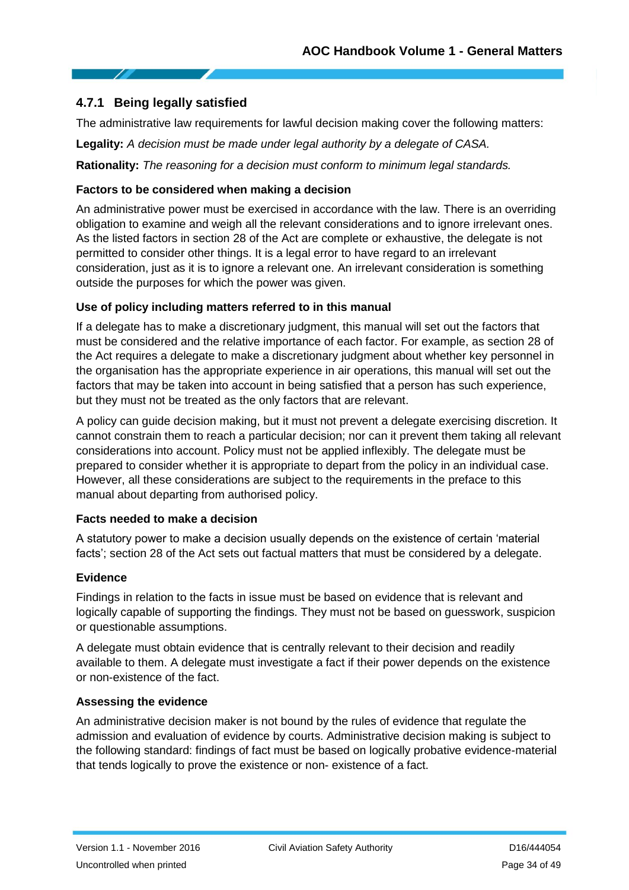### **4.7.1 Being legally satisfied**

The administrative law requirements for lawful decision making cover the following matters:

**Legality:** *A decision must be made under legal authority by a delegate of CASA.*

**Rationality:** *The reasoning for a decision must conform to minimum legal standards.*

### **Factors to be considered when making a decision**

An administrative power must be exercised in accordance with the law. There is an overriding obligation to examine and weigh all the relevant considerations and to ignore irrelevant ones. As the listed factors in section 28 of the Act are complete or exhaustive, the delegate is not permitted to consider other things. It is a legal error to have regard to an irrelevant consideration, just as it is to ignore a relevant one. An irrelevant consideration is something outside the purposes for which the power was given.

#### **Use of policy including matters referred to in this manual**

If a delegate has to make a discretionary judgment, this manual will set out the factors that must be considered and the relative importance of each factor. For example, as section 28 of the Act requires a delegate to make a discretionary judgment about whether key personnel in the organisation has the appropriate experience in air operations, this manual will set out the factors that may be taken into account in being satisfied that a person has such experience, but they must not be treated as the only factors that are relevant.

A policy can guide decision making, but it must not prevent a delegate exercising discretion. It cannot constrain them to reach a particular decision; nor can it prevent them taking all relevant considerations into account. Policy must not be applied inflexibly. The delegate must be prepared to consider whether it is appropriate to depart from the policy in an individual case. However, all these considerations are subject to the requirements in the preface to this manual about departing from authorised policy.

#### **Facts needed to make a decision**

A statutory power to make a decision usually depends on the existence of certain 'material facts'; section 28 of the Act sets out factual matters that must be considered by a delegate.

#### **Evidence**

Findings in relation to the facts in issue must be based on evidence that is relevant and logically capable of supporting the findings. They must not be based on guesswork, suspicion or questionable assumptions.

A delegate must obtain evidence that is centrally relevant to their decision and readily available to them. A delegate must investigate a fact if their power depends on the existence or non-existence of the fact.

#### **Assessing the evidence**

An administrative decision maker is not bound by the rules of evidence that regulate the admission and evaluation of evidence by courts. Administrative decision making is subject to the following standard: findings of fact must be based on logically probative evidence-material that tends logically to prove the existence or non- existence of a fact.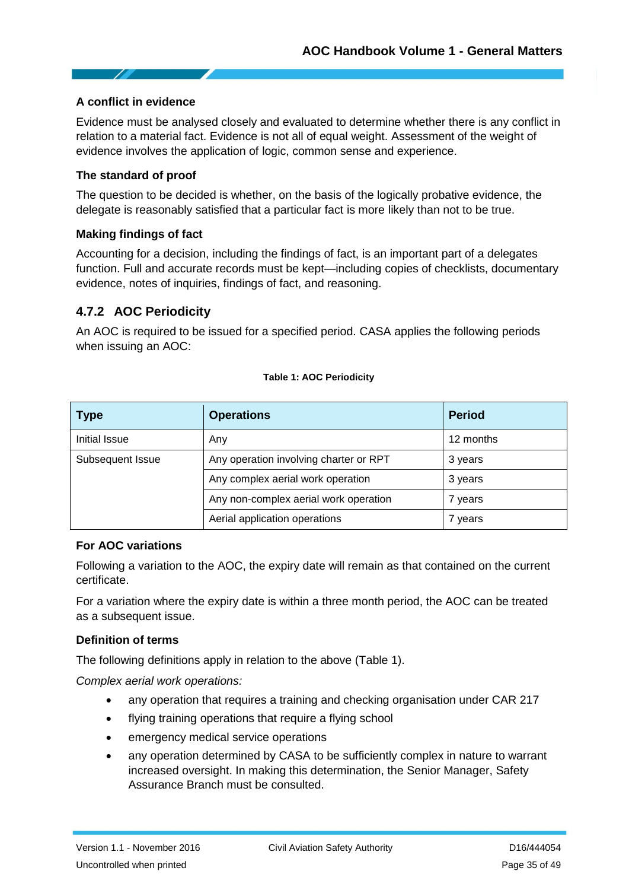#### **A conflict in evidence**

Evidence must be analysed closely and evaluated to determine whether there is any conflict in relation to a material fact. Evidence is not all of equal weight. Assessment of the weight of evidence involves the application of logic, common sense and experience.

#### **The standard of proof**

The question to be decided is whether, on the basis of the logically probative evidence, the delegate is reasonably satisfied that a particular fact is more likely than not to be true.

#### **Making findings of fact**

Accounting for a decision, including the findings of fact, is an important part of a delegates function. Full and accurate records must be kept—including copies of checklists, documentary evidence, notes of inquiries, findings of fact, and reasoning.

### **4.7.2 AOC Periodicity**

An AOC is required to be issued for a specified period. CASA applies the following periods when issuing an AOC:

| <b>Type</b>      | <b>Operations</b>                      | <b>Period</b> |
|------------------|----------------------------------------|---------------|
| Initial Issue    | Any                                    | 12 months     |
| Subsequent Issue | Any operation involving charter or RPT | 3 years       |
|                  | Any complex aerial work operation      | 3 years       |
|                  | Any non-complex aerial work operation  | 7 years       |
|                  | Aerial application operations          | 7 years       |

#### **Table 1: AOC Periodicity**

#### **For AOC variations**

Following a variation to the AOC, the expiry date will remain as that contained on the current certificate.

For a variation where the expiry date is within a three month period, the AOC can be treated as a subsequent issue.

#### **Definition of terms**

The following definitions apply in relation to the above (Table 1).

*Complex aerial work operations:*

- any operation that requires a training and checking organisation under CAR 217
- flying training operations that require a flying school
- emergency medical service operations
- any operation determined by CASA to be sufficiently complex in nature to warrant increased oversight. In making this determination, the Senior Manager, Safety Assurance Branch must be consulted.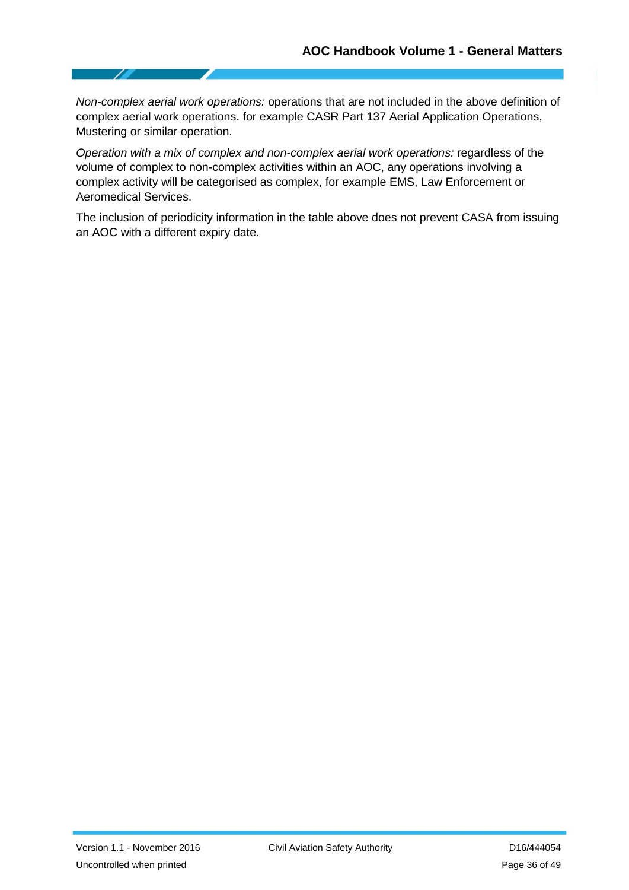*Non-complex aerial work operations:* operations that are not included in the above definition of complex aerial work operations. for example CASR Part 137 Aerial Application Operations, Mustering or similar operation.

*Operation with a mix of complex and non-complex aerial work operations:* regardless of the volume of complex to non-complex activities within an AOC, any operations involving a complex activity will be categorised as complex, for example EMS, Law Enforcement or Aeromedical Services.

The inclusion of periodicity information in the table above does not prevent CASA from issuing an AOC with a different expiry date.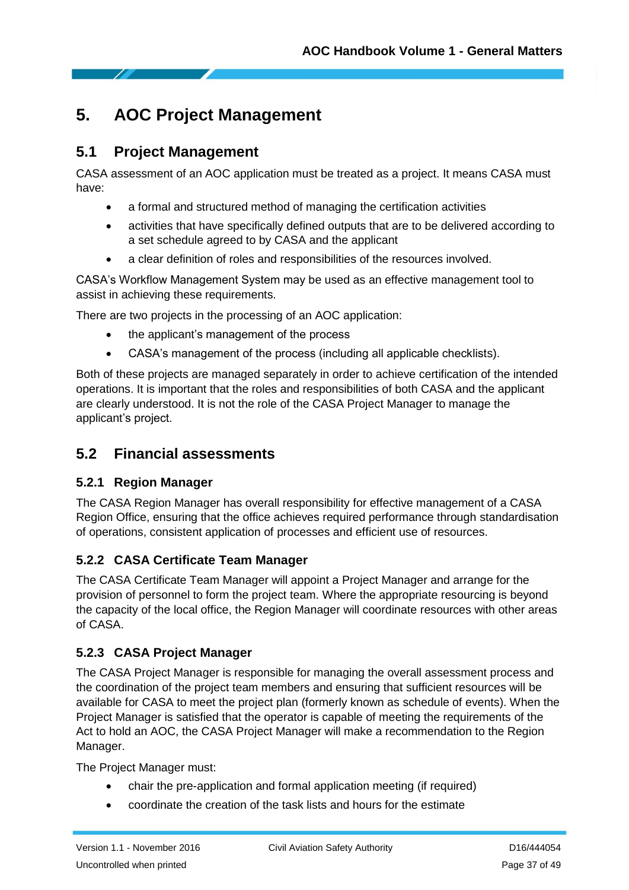# <span id="page-36-0"></span>**5. AOC Project Management**

## <span id="page-36-1"></span>**5.1 Project Management**

CASA assessment of an AOC application must be treated as a project. It means CASA must have:

- a formal and structured method of managing the certification activities
- activities that have specifically defined outputs that are to be delivered according to a set schedule agreed to by CASA and the applicant
- a clear definition of roles and responsibilities of the resources involved.

CASA's Workflow Management System may be used as an effective management tool to assist in achieving these requirements.

There are two projects in the processing of an AOC application:

- the applicant's management of the process
- CASA's management of the process (including all applicable checklists).

Both of these projects are managed separately in order to achieve certification of the intended operations. It is important that the roles and responsibilities of both CASA and the applicant are clearly understood. It is not the role of the CASA Project Manager to manage the applicant's project.

## <span id="page-36-2"></span>**5.2 Financial assessments**

## **5.2.1 Region Manager**

The CASA Region Manager has overall responsibility for effective management of a CASA Region Office, ensuring that the office achieves required performance through standardisation of operations, consistent application of processes and efficient use of resources.

## **5.2.2 CASA Certificate Team Manager**

The CASA Certificate Team Manager will appoint a Project Manager and arrange for the provision of personnel to form the project team. Where the appropriate resourcing is beyond the capacity of the local office, the Region Manager will coordinate resources with other areas of CASA.

## **5.2.3 CASA Project Manager**

The CASA Project Manager is responsible for managing the overall assessment process and the coordination of the project team members and ensuring that sufficient resources will be available for CASA to meet the project plan (formerly known as schedule of events). When the Project Manager is satisfied that the operator is capable of meeting the requirements of the Act to hold an AOC, the CASA Project Manager will make a recommendation to the Region Manager.

The Project Manager must:

- chair the pre-application and formal application meeting (if required)
- coordinate the creation of the task lists and hours for the estimate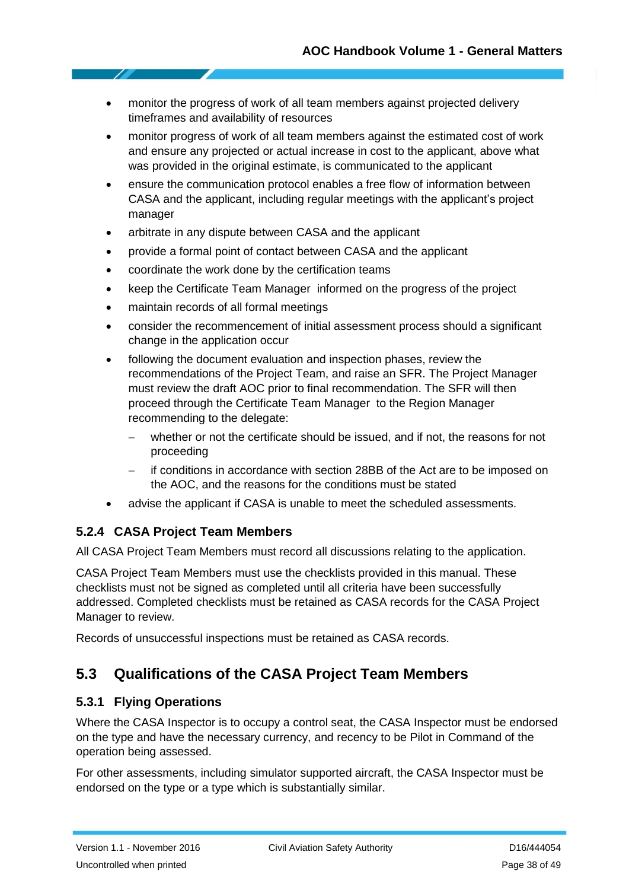- monitor the progress of work of all team members against projected delivery timeframes and availability of resources
- monitor progress of work of all team members against the estimated cost of work and ensure any projected or actual increase in cost to the applicant, above what was provided in the original estimate, is communicated to the applicant
- ensure the communication protocol enables a free flow of information between CASA and the applicant, including regular meetings with the applicant's project manager
- arbitrate in any dispute between CASA and the applicant
- provide a formal point of contact between CASA and the applicant
- coordinate the work done by the certification teams
- keep the Certificate Team Manager informed on the progress of the project
- maintain records of all formal meetings
- consider the recommencement of initial assessment process should a significant change in the application occur
- following the document evaluation and inspection phases, review the recommendations of the Project Team, and raise an SFR. The Project Manager must review the draft AOC prior to final recommendation. The SFR will then proceed through the Certificate Team Manager to the Region Manager recommending to the delegate:
	- whether or not the certificate should be issued, and if not, the reasons for not proceeding
	- if conditions in accordance with section 28BB of the Act are to be imposed on the AOC, and the reasons for the conditions must be stated
- advise the applicant if CASA is unable to meet the scheduled assessments.

## **5.2.4 CASA Project Team Members**

All CASA Project Team Members must record all discussions relating to the application.

CASA Project Team Members must use the checklists provided in this manual. These checklists must not be signed as completed until all criteria have been successfully addressed. Completed checklists must be retained as CASA records for the CASA Project Manager to review.

Records of unsuccessful inspections must be retained as CASA records.

## <span id="page-37-0"></span>**5.3 Qualifications of the CASA Project Team Members**

### **5.3.1 Flying Operations**

Where the CASA Inspector is to occupy a control seat, the CASA Inspector must be endorsed on the type and have the necessary currency, and recency to be Pilot in Command of the operation being assessed.

For other assessments, including simulator supported aircraft, the CASA Inspector must be endorsed on the type or a type which is substantially similar.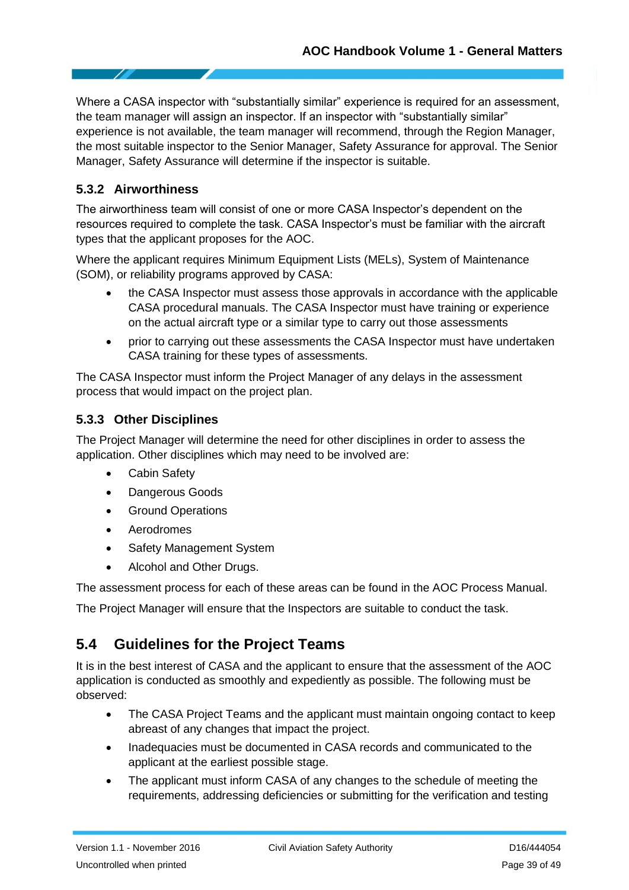Where a CASA inspector with "substantially similar" experience is required for an assessment, the team manager will assign an inspector. If an inspector with "substantially similar" experience is not available, the team manager will recommend, through the Region Manager, the most suitable inspector to the Senior Manager, Safety Assurance for approval. The Senior Manager, Safety Assurance will determine if the inspector is suitable.

## **5.3.2 Airworthiness**

The airworthiness team will consist of one or more CASA Inspector's dependent on the resources required to complete the task. CASA Inspector's must be familiar with the aircraft types that the applicant proposes for the AOC.

Where the applicant requires Minimum Equipment Lists (MELs), System of Maintenance (SOM), or reliability programs approved by CASA:

- the CASA Inspector must assess those approvals in accordance with the applicable CASA procedural manuals. The CASA Inspector must have training or experience on the actual aircraft type or a similar type to carry out those assessments
- prior to carrying out these assessments the CASA Inspector must have undertaken CASA training for these types of assessments.

The CASA Inspector must inform the Project Manager of any delays in the assessment process that would impact on the project plan.

### **5.3.3 Other Disciplines**

The Project Manager will determine the need for other disciplines in order to assess the application. Other disciplines which may need to be involved are:

- Cabin Safety
- Dangerous Goods
- Ground Operations
- Aerodromes
- Safety Management System
- Alcohol and Other Drugs.

The assessment process for each of these areas can be found in the AOC Process Manual.

The Project Manager will ensure that the Inspectors are suitable to conduct the task.

## <span id="page-38-0"></span>**5.4 Guidelines for the Project Teams**

It is in the best interest of CASA and the applicant to ensure that the assessment of the AOC application is conducted as smoothly and expediently as possible. The following must be observed:

- The CASA Project Teams and the applicant must maintain ongoing contact to keep abreast of any changes that impact the project.
- Inadequacies must be documented in CASA records and communicated to the applicant at the earliest possible stage.
- The applicant must inform CASA of any changes to the schedule of meeting the requirements, addressing deficiencies or submitting for the verification and testing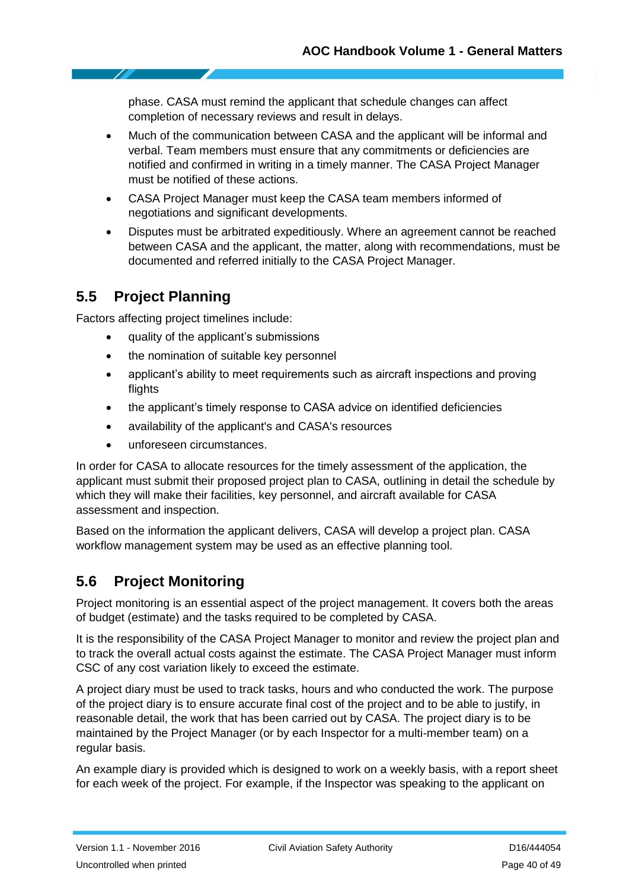phase. CASA must remind the applicant that schedule changes can affect completion of necessary reviews and result in delays.

- Much of the communication between CASA and the applicant will be informal and verbal. Team members must ensure that any commitments or deficiencies are notified and confirmed in writing in a timely manner. The CASA Project Manager must be notified of these actions.
- CASA Project Manager must keep the CASA team members informed of negotiations and significant developments.
- Disputes must be arbitrated expeditiously. Where an agreement cannot be reached between CASA and the applicant, the matter, along with recommendations, must be documented and referred initially to the CASA Project Manager.

## <span id="page-39-0"></span>**5.5 Project Planning**

Factors affecting project timelines include:

- quality of the applicant's submissions
- the nomination of suitable key personnel
- applicant's ability to meet requirements such as aircraft inspections and proving flights
- the applicant's timely response to CASA advice on identified deficiencies
- availability of the applicant's and CASA's resources
- unforeseen circumstances.

In order for CASA to allocate resources for the timely assessment of the application, the applicant must submit their proposed project plan to CASA, outlining in detail the schedule by which they will make their facilities, key personnel, and aircraft available for CASA assessment and inspection.

Based on the information the applicant delivers, CASA will develop a project plan. CASA workflow management system may be used as an effective planning tool.

## <span id="page-39-1"></span>**5.6 Project Monitoring**

Project monitoring is an essential aspect of the project management. It covers both the areas of budget (estimate) and the tasks required to be completed by CASA.

It is the responsibility of the CASA Project Manager to monitor and review the project plan and to track the overall actual costs against the estimate. The CASA Project Manager must inform CSC of any cost variation likely to exceed the estimate.

A project diary must be used to track tasks, hours and who conducted the work. The purpose of the project diary is to ensure accurate final cost of the project and to be able to justify, in reasonable detail, the work that has been carried out by CASA. The project diary is to be maintained by the Project Manager (or by each Inspector for a multi-member team) on a regular basis.

An example diary is provided which is designed to work on a weekly basis, with a report sheet for each week of the project. For example, if the Inspector was speaking to the applicant on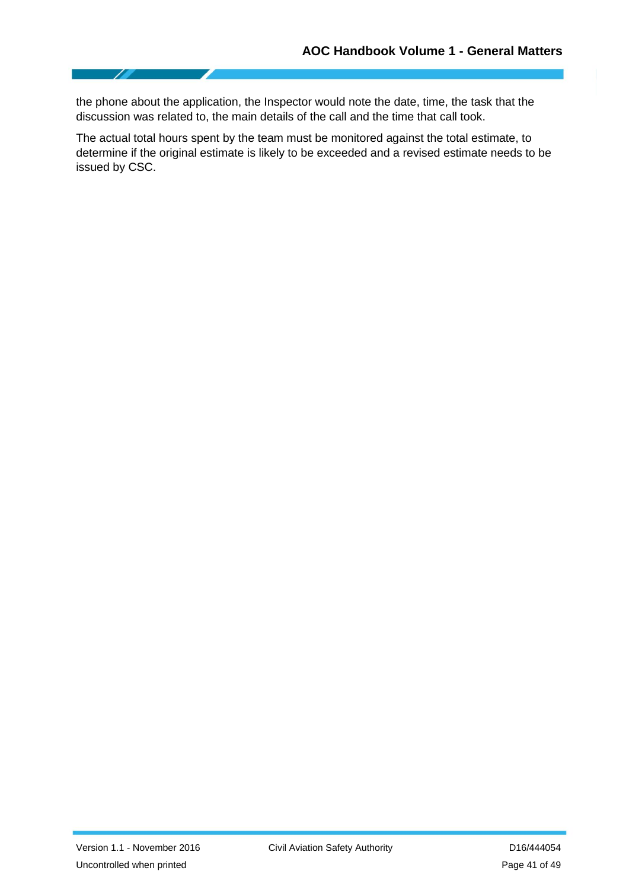the phone about the application, the Inspector would note the date, time, the task that the discussion was related to, the main details of the call and the time that call took.

The actual total hours spent by the team must be monitored against the total estimate, to determine if the original estimate is likely to be exceeded and a revised estimate needs to be issued by CSC.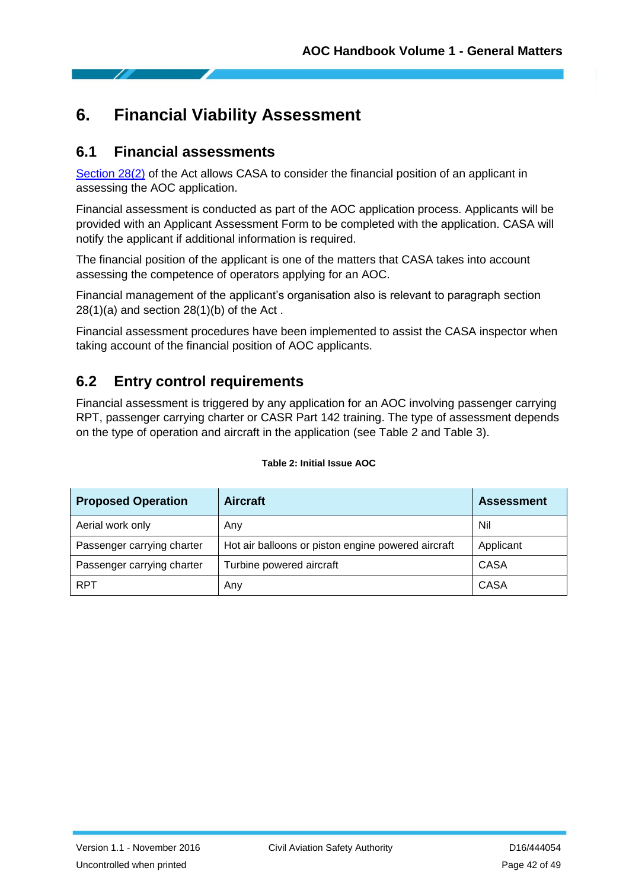# <span id="page-41-0"></span>**6. Financial Viability Assessment**

## <span id="page-41-1"></span>**6.1 Financial assessments**

[Section 28\(2\)](https://www.legislation.gov.au/Details/C2011C00210) of the Act allows CASA to consider the financial position of an applicant in assessing the AOC application.

Financial assessment is conducted as part of the AOC application process. Applicants will be provided with an Applicant Assessment Form to be completed with the application. CASA will notify the applicant if additional information is required.

The financial position of the applicant is one of the matters that CASA takes into account assessing the competence of operators applying for an AOC.

Financial management of the applicant's organisation also is relevant to paragraph section  $28(1)(a)$  and section  $28(1)(b)$  of the Act.

Financial assessment procedures have been implemented to assist the CASA inspector when taking account of the financial position of AOC applicants.

## <span id="page-41-2"></span>**6.2 Entry control requirements**

Financial assessment is triggered by any application for an AOC involving passenger carrying RPT, passenger carrying charter or CASR Part 142 training. The type of assessment depends on the type of operation and aircraft in the application (see Table 2 and Table 3).

| <b>Proposed Operation</b>  | <b>Aircraft</b>                                    | <b>Assessment</b> |
|----------------------------|----------------------------------------------------|-------------------|
| Aerial work only           | Any                                                | Nil               |
| Passenger carrying charter | Hot air balloons or piston engine powered aircraft | Applicant         |
| Passenger carrying charter | Turbine powered aircraft                           | <b>CASA</b>       |
| <b>RPT</b>                 | Any                                                | CASA              |

#### **Table 2: Initial Issue AOC**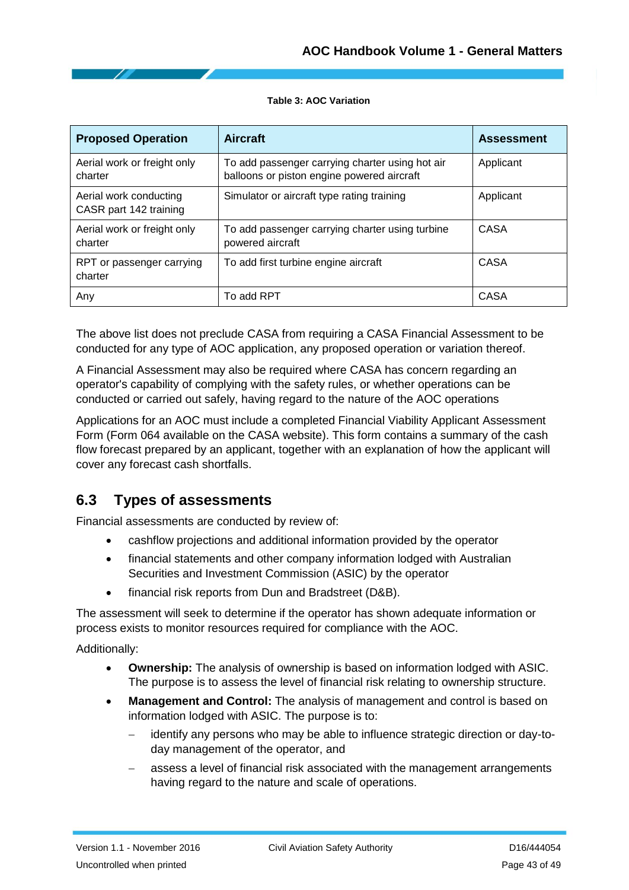| <b>Proposed Operation</b>                        | <b>Aircraft</b>                                                                               | <b>Assessment</b> |
|--------------------------------------------------|-----------------------------------------------------------------------------------------------|-------------------|
| Aerial work or freight only<br>charter           | To add passenger carrying charter using hot air<br>balloons or piston engine powered aircraft | Applicant         |
| Aerial work conducting<br>CASR part 142 training | Simulator or aircraft type rating training                                                    | Applicant         |
| Aerial work or freight only<br>charter           | To add passenger carrying charter using turbine<br>powered aircraft                           | CASA              |
| RPT or passenger carrying<br>charter             | To add first turbine engine aircraft                                                          | CASA              |
| Any                                              | To add RPT                                                                                    | CASA              |

The above list does not preclude CASA from requiring a CASA Financial Assessment to be conducted for any type of AOC application, any proposed operation or variation thereof.

A Financial Assessment may also be required where CASA has concern regarding an operator's capability of complying with the safety rules, or whether operations can be conducted or carried out safely, having regard to the nature of the AOC operations

Applications for an AOC must include a completed Financial Viability Applicant Assessment Form (Form 064 available on the CASA website). This form contains a summary of the cash flow forecast prepared by an applicant, together with an explanation of how the applicant will cover any forecast cash shortfalls.

## <span id="page-42-0"></span>**6.3 Types of assessments**

Financial assessments are conducted by review of:

- cashflow projections and additional information provided by the operator
- financial statements and other company information lodged with Australian Securities and Investment Commission (ASIC) by the operator
- financial risk reports from Dun and Bradstreet (D&B).

The assessment will seek to determine if the operator has shown adequate information or process exists to monitor resources required for compliance with the AOC.

Additionally:

- **Ownership:** The analysis of ownership is based on information lodged with ASIC. The purpose is to assess the level of financial risk relating to ownership structure.
- **Management and Control:** The analysis of management and control is based on information lodged with ASIC. The purpose is to:
	- identify any persons who may be able to influence strategic direction or day-today management of the operator, and
	- assess a level of financial risk associated with the management arrangements having regard to the nature and scale of operations.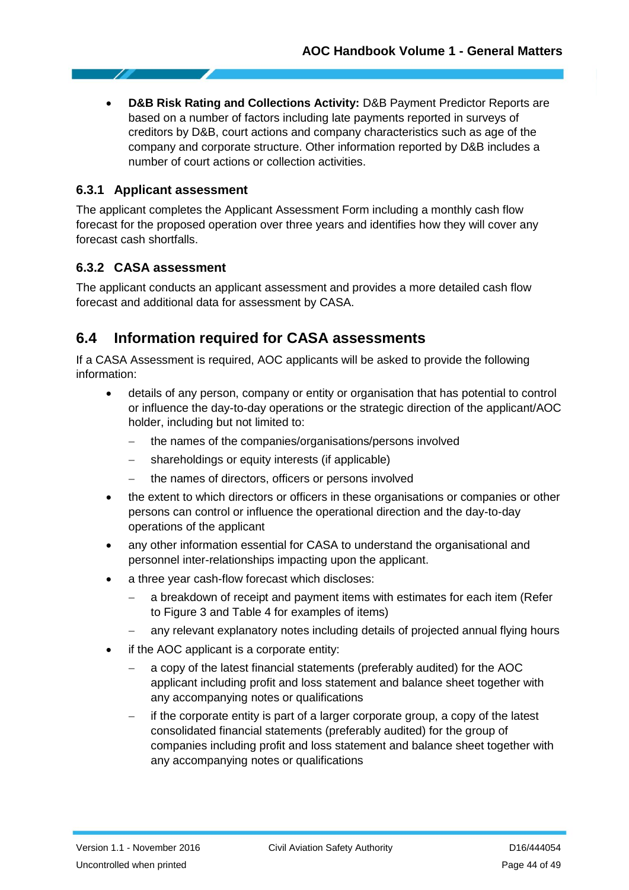**D&B Risk Rating and Collections Activity:** D&B Payment Predictor Reports are based on a number of factors including late payments reported in surveys of creditors by D&B, court actions and company characteristics such as age of the company and corporate structure. Other information reported by D&B includes a number of court actions or collection activities.

### **6.3.1 Applicant assessment**

The applicant completes the Applicant Assessment Form including a monthly cash flow forecast for the proposed operation over three years and identifies how they will cover any forecast cash shortfalls.

### **6.3.2 CASA assessment**

The applicant conducts an applicant assessment and provides a more detailed cash flow forecast and additional data for assessment by CASA.

## <span id="page-43-0"></span>**6.4 Information required for CASA assessments**

If a CASA Assessment is required, AOC applicants will be asked to provide the following information:

- details of any person, company or entity or organisation that has potential to control or influence the day-to-day operations or the strategic direction of the applicant/AOC holder, including but not limited to:
	- the names of the companies/organisations/persons involved
	- shareholdings or equity interests (if applicable)
	- the names of directors, officers or persons involved
- the extent to which directors or officers in these organisations or companies or other persons can control or influence the operational direction and the day-to-day operations of the applicant
- any other information essential for CASA to understand the organisational and personnel inter-relationships impacting upon the applicant.
- a three year cash-flow forecast which discloses:
	- a breakdown of receipt and payment items with estimates for each item (Refer to Figure 3 and Table 4 for examples of items)
	- any relevant explanatory notes including details of projected annual flying hours
- if the AOC applicant is a corporate entity:
	- a copy of the latest financial statements (preferably audited) for the AOC applicant including profit and loss statement and balance sheet together with any accompanying notes or qualifications
	- if the corporate entity is part of a larger corporate group, a copy of the latest consolidated financial statements (preferably audited) for the group of companies including profit and loss statement and balance sheet together with any accompanying notes or qualifications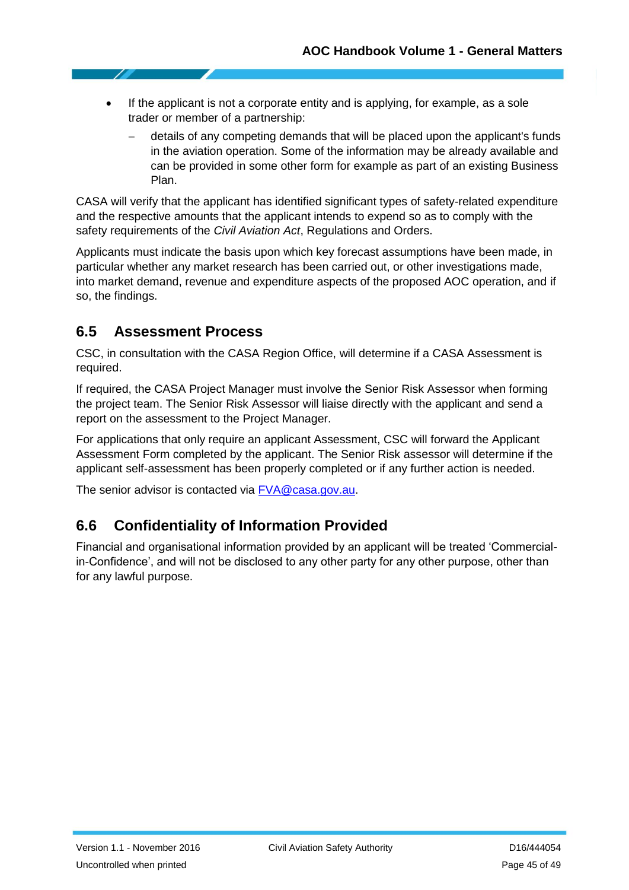- If the applicant is not a corporate entity and is applying, for example, as a sole trader or member of a partnership:
	- details of any competing demands that will be placed upon the applicant's funds in the aviation operation. Some of the information may be already available and can be provided in some other form for example as part of an existing Business Plan.

CASA will verify that the applicant has identified significant types of safety-related expenditure and the respective amounts that the applicant intends to expend so as to comply with the safety requirements of the *Civil Aviation Act*, Regulations and Orders.

Applicants must indicate the basis upon which key forecast assumptions have been made, in particular whether any market research has been carried out, or other investigations made, into market demand, revenue and expenditure aspects of the proposed AOC operation, and if so, the findings.

## <span id="page-44-0"></span>**6.5 Assessment Process**

CSC, in consultation with the CASA Region Office, will determine if a CASA Assessment is required.

If required, the CASA Project Manager must involve the Senior Risk Assessor when forming the project team. The Senior Risk Assessor will liaise directly with the applicant and send a report on the assessment to the Project Manager.

For applications that only require an applicant Assessment, CSC will forward the Applicant Assessment Form completed by the applicant. The Senior Risk assessor will determine if the applicant self-assessment has been properly completed or if any further action is needed.

The senior advisor is contacted via [FVA@casa.gov.au.](mailto:FVA@casa.gov.au)

## <span id="page-44-1"></span>**6.6 Confidentiality of Information Provided**

Financial and organisational information provided by an applicant will be treated 'Commercialin-Confidence', and will not be disclosed to any other party for any other purpose, other than for any lawful purpose.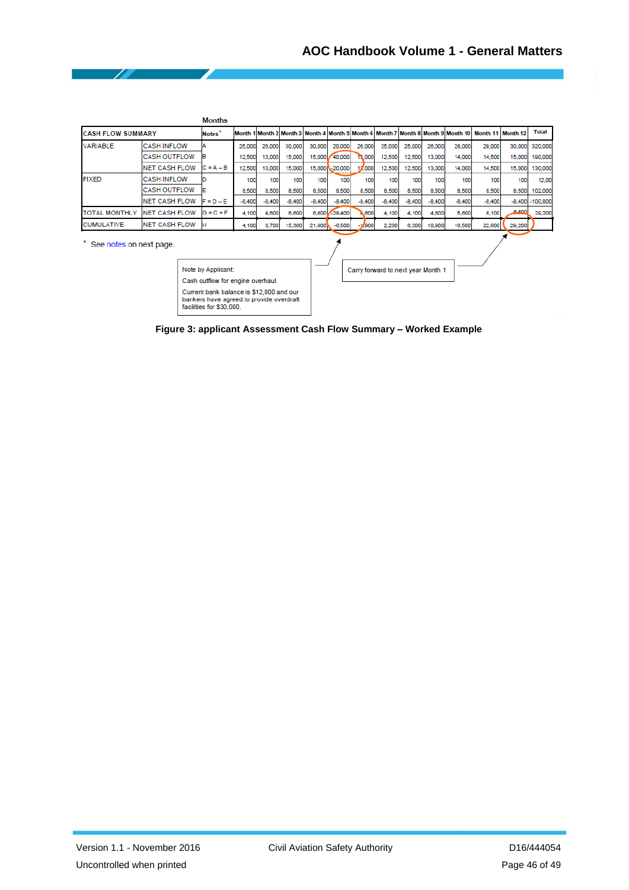|                                                                                                                          |                      | <b>Months</b>      |              |          |          |          |                |          |          |          |          |                                                                            |          |          |                    |
|--------------------------------------------------------------------------------------------------------------------------|----------------------|--------------------|--------------|----------|----------|----------|----------------|----------|----------|----------|----------|----------------------------------------------------------------------------|----------|----------|--------------------|
| <b>CASH FLOW SUMMARY</b>                                                                                                 |                      | Notes <sup>*</sup> | <b>Month</b> |          |          |          |                |          |          |          |          | 1 Month 2 Month 3 Month 4 Month 5 Month 6 Month 7 Month 8 Month 9 Month 10 | Month 11 | Month 12 | <b>Total</b>       |
| <b>VARIABLE</b>                                                                                                          | <b>CASH INFLOW</b>   |                    | 25,000       | 26,000   | 30,000   | 30,000   | 20,000         | 26,000   | 25,000   | 25,000   | 26,000   | 28,000                                                                     | 29,000   | 30,000   | 320,000            |
|                                                                                                                          | <b>CASH OUTFLOW</b>  | IΒ                 | 12,500       | 13,000   | 15,000   |          | 15,000 40,000  | 13,000   | 12,500   | 12,500   | 13,000   | 14,000                                                                     | 14,500   | 15,000   | 190,000            |
|                                                                                                                          | <b>NET CASH FLOW</b> | $C = A - B$        | 12,500       | 13,000   | 15,000   | 15,000   | $-20,000$      | 12,000   | 12,500   | 12,500   | 13,000   | 14,000                                                                     | 14,500   | 15,000   | 130,000            |
| <b>FIXED</b>                                                                                                             | <b>CASH INFLOW</b>   |                    | 100          | 100      | 100      | 100      | 100            | 100      | 100      | 100      | 100      | 100                                                                        | 100      | 100      | 12,00              |
|                                                                                                                          | <b>CASH OUTFLOW</b>  | Е                  | 8,500        | 8,500    | 8,500    | 8,500    | 8,500          | 8,500    | 8,500    | 8,500    | 8,500    | 8,500                                                                      | 8,500    | 8,500    | 102,000            |
|                                                                                                                          | <b>NET CASH FLOW</b> | $F = D - E$        | $-8,400$     | $-8,400$ | $-8,400$ | $-8,400$ | $-8,400$       | $-8,400$ | $-8,400$ | $-8,400$ | $-8,400$ | $-8,400$                                                                   | $-8,400$ |          | $-8,400 - 100,800$ |
| <b>TOTAL MONTHLY</b>                                                                                                     | <b>NET CASH FLOW</b> | $G = C + F$        | 4,100        | 4,600    | 6,600    |          | 6,600 - 28,400 | ,600     | 4,100    | 4,100    | 4,600    | 5,600                                                                      | 6,100    | 8,800    | 29,200             |
| <b>CUMULATIVE</b>                                                                                                        | <b>NET CASH FLOW</b> | н                  | 4,100        | 8,700    | 15,300   | 21,900   | $-6,500$       | $-1/900$ | 2,200    | 6,300    | 10,900   | 16,500                                                                     | 22,600   | 29,200   |                    |
| See notes on next page.<br>Note by Applicant:<br>Carry forward to next year Month 1<br>Cash outflow for engine overhaul. |                      |                    |              |          |          |          |                |          |          |          |          |                                                                            |          |          |                    |

**Figure 3: applicant Assessment Cash Flow Summary – Worked Example**

Current bank balance is \$12,000 and our<br>bankers have agreed to provide overdraft<br>facilities for \$30,000.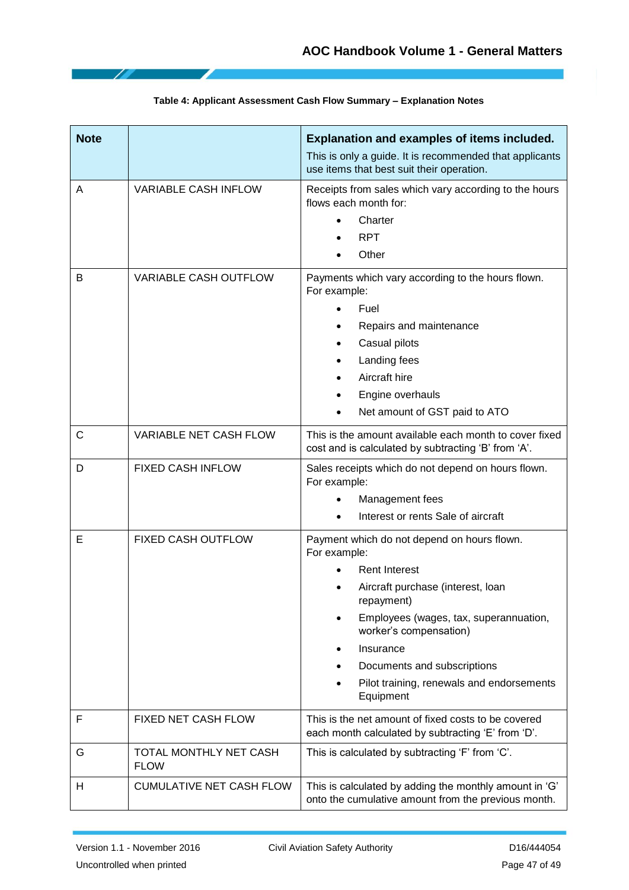| <b>Note</b> |                                       | <b>Explanation and examples of items included.</b><br>This is only a guide. It is recommended that applicants<br>use items that best suit their operation.                                                                                                                                                       |
|-------------|---------------------------------------|------------------------------------------------------------------------------------------------------------------------------------------------------------------------------------------------------------------------------------------------------------------------------------------------------------------|
| A           | <b>VARIABLE CASH INFLOW</b>           | Receipts from sales which vary according to the hours<br>flows each month for:<br>Charter<br><b>RPT</b><br>Other                                                                                                                                                                                                 |
| B           | <b>VARIABLE CASH OUTFLOW</b>          | Payments which vary according to the hours flown.<br>For example:<br>Fuel<br>Repairs and maintenance<br>Casual pilots<br>Landing fees<br>Aircraft hire<br>Engine overhauls<br>Net amount of GST paid to ATO                                                                                                      |
| C           | <b>VARIABLE NET CASH FLOW</b>         | This is the amount available each month to cover fixed<br>cost and is calculated by subtracting 'B' from 'A'.                                                                                                                                                                                                    |
| D           | <b>FIXED CASH INFLOW</b>              | Sales receipts which do not depend on hours flown.<br>For example:<br>Management fees<br>Interest or rents Sale of aircraft                                                                                                                                                                                      |
| E           | <b>FIXED CASH OUTFLOW</b>             | Payment which do not depend on hours flown.<br>For example:<br><b>Rent Interest</b><br>Aircraft purchase (interest, loan<br>repayment)<br>Employees (wages, tax, superannuation,<br>worker's compensation)<br>Insurance<br>Documents and subscriptions<br>Pilot training, renewals and endorsements<br>Equipment |
| F           | FIXED NET CASH FLOW                   | This is the net amount of fixed costs to be covered<br>each month calculated by subtracting 'E' from 'D'.                                                                                                                                                                                                        |
| G           | TOTAL MONTHLY NET CASH<br><b>FLOW</b> | This is calculated by subtracting 'F' from 'C'.                                                                                                                                                                                                                                                                  |
| Н           | <b>CUMULATIVE NET CASH FLOW</b>       | This is calculated by adding the monthly amount in 'G'                                                                                                                                                                                                                                                           |

#### **Table 4: Applicant Assessment Cash Flow Summary – Explanation Notes**

onto the cumulative amount from the previous month.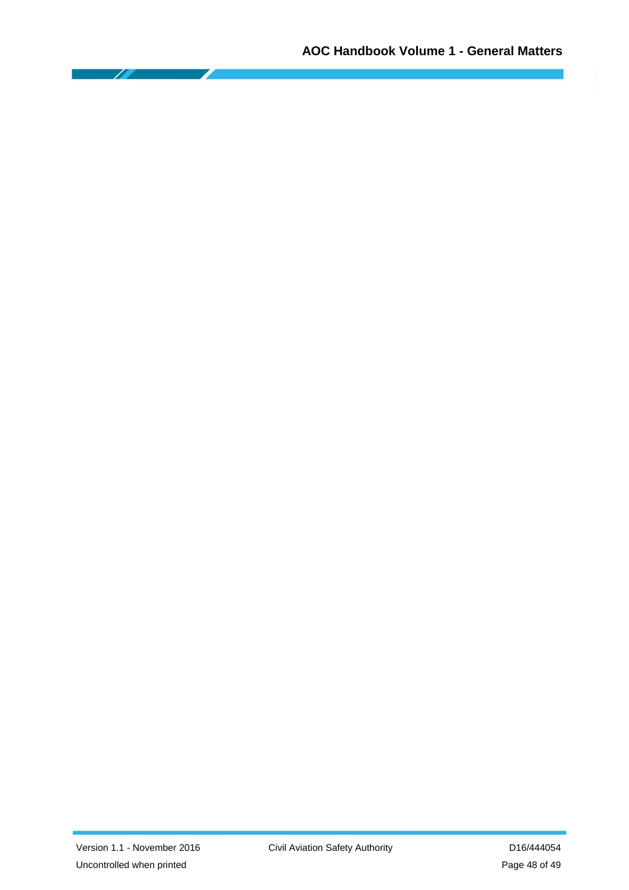- Till